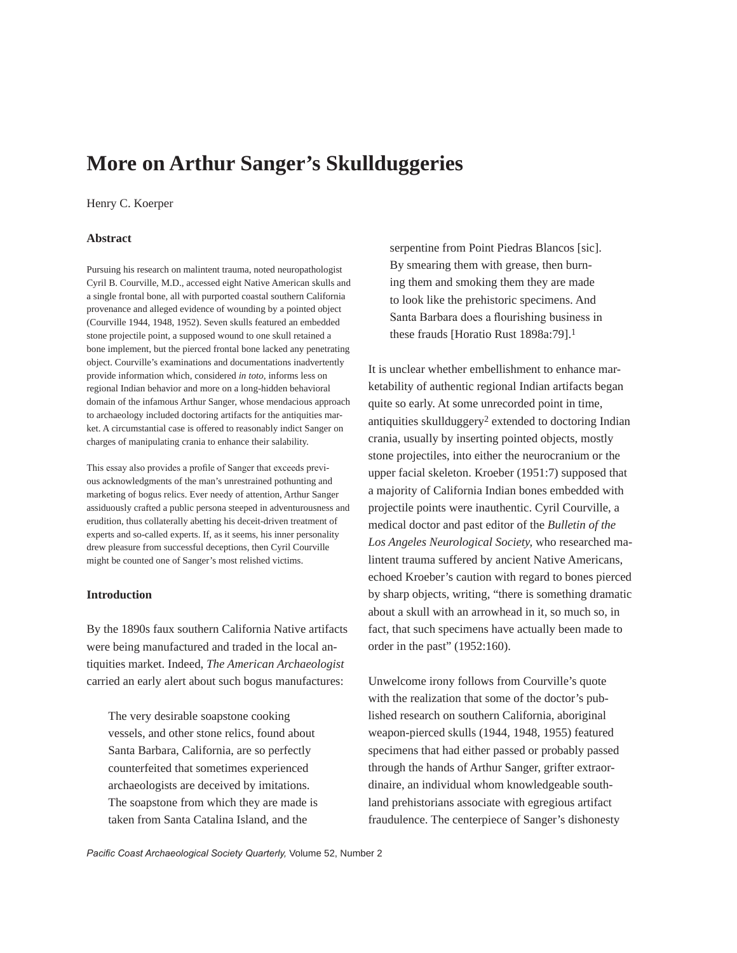# **More on Arthur Sanger's Skullduggeries**

## Henry C. Koerper

## **Abstract**

Pursuing his research on malintent trauma, noted neuropathologist Cyril B. Courville, M.D., accessed eight Native American skulls and a single frontal bone, all with purported coastal southern California provenance and alleged evidence of wounding by a pointed object (Courville 1944, 1948, 1952). Seven skulls featured an embedded stone projectile point, a supposed wound to one skull retained a bone implement, but the pierced frontal bone lacked any penetrating object. Courville's examinations and documentations inadvertently provide information which, considered *in toto*, informs less on regional Indian behavior and more on a long-hidden behavioral domain of the infamous Arthur Sanger, whose mendacious approach to archaeology included doctoring artifacts for the antiquities market. A circumstantial case is offered to reasonably indict Sanger on charges of manipulating crania to enhance their salability.

This essay also provides a profile of Sanger that exceeds previous acknowledgments of the man's unrestrained pothunting and marketing of bogus relics. Ever needy of attention, Arthur Sanger assiduously crafted a public persona steeped in adventurousness and erudition, thus collaterally abetting his deceit-driven treatment of experts and so-called experts. If, as it seems, his inner personality drew pleasure from successful deceptions, then Cyril Courville might be counted one of Sanger's most relished victims.

## **Introduction**

By the 1890s faux southern California Native artifacts were being manufactured and traded in the local antiquities market. Indeed, *The American Archaeologist* carried an early alert about such bogus manufactures:

The very desirable soapstone cooking vessels, and other stone relics, found about Santa Barbara, California, are so perfectly counterfeited that sometimes experienced archaeologists are deceived by imitations. The soapstone from which they are made is taken from Santa Catalina Island, and the

serpentine from Point Piedras Blancos [sic]. By smearing them with grease, then burning them and smoking them they are made to look like the prehistoric specimens. And Santa Barbara does a flourishing business in these frauds [Horatio Rust 1898a:79].1

It is unclear whether embellishment to enhance marketability of authentic regional Indian artifacts began quite so early. At some unrecorded point in time, antiquities skullduggery2 extended to doctoring Indian crania, usually by inserting pointed objects, mostly stone projectiles, into either the neurocranium or the upper facial skeleton. Kroeber (1951:7) supposed that a majority of California Indian bones embedded with projectile points were inauthentic. Cyril Courville, a medical doctor and past editor of the *Bulletin of the Los Angeles Neurological Society,* who researched malintent trauma suffered by ancient Native Americans, echoed Kroeber's caution with regard to bones pierced by sharp objects, writing, "there is something dramatic about a skull with an arrowhead in it, so much so, in fact, that such specimens have actually been made to order in the past" (1952:160).

Unwelcome irony follows from Courville's quote with the realization that some of the doctor's published research on southern California, aboriginal weapon-pierced skulls (1944, 1948, 1955) featured specimens that had either passed or probably passed through the hands of Arthur Sanger, grifter extraordinaire, an individual whom knowledgeable southland prehistorians associate with egregious artifact fraudulence. The centerpiece of Sanger's dishonesty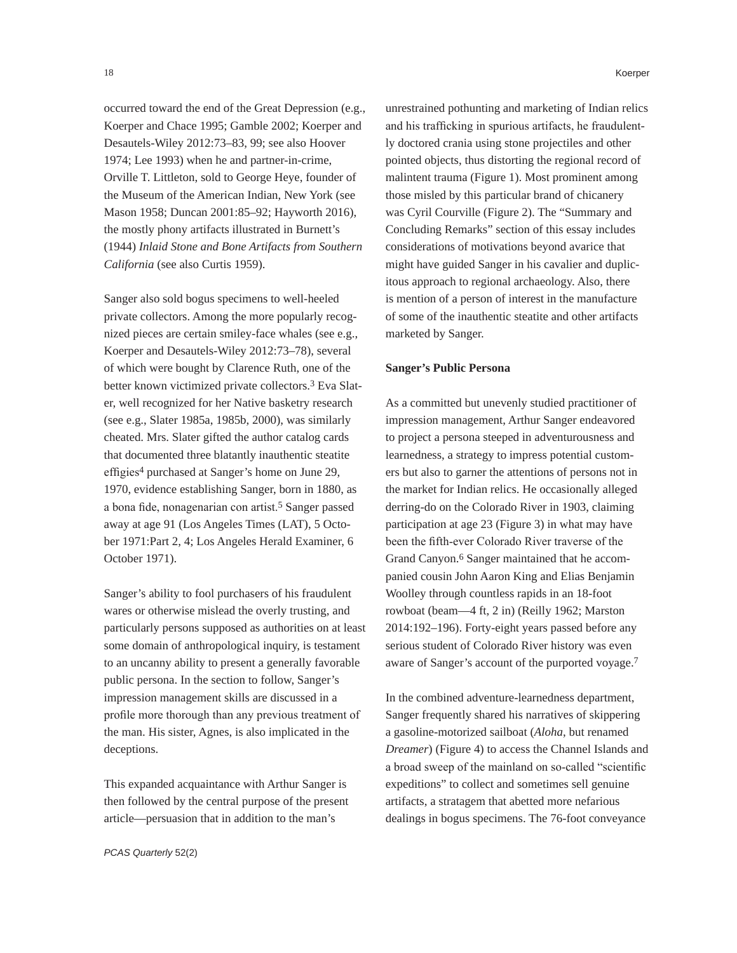occurred toward the end of the Great Depression (e.g., Koerper and Chace 1995; Gamble 2002; Koerper and Desautels-Wiley 2012:73–83, 99; see also Hoover 1974; Lee 1993) when he and partner-in-crime, Orville T. Littleton, sold to George Heye, founder of the Museum of the American Indian, New York (see Mason 1958; Duncan 2001:85–92; Hayworth 2016), the mostly phony artifacts illustrated in Burnett's (1944) *Inlaid Stone and Bone Artifacts from Southern California* (see also Curtis 1959).

Sanger also sold bogus specimens to well-heeled private collectors. Among the more popularly recognized pieces are certain smiley-face whales (see e.g., Koerper and Desautels-Wiley 2012:73–78), several of which were bought by Clarence Ruth, one of the better known victimized private collectors.3 Eva Slater, well recognized for her Native basketry research (see e.g., Slater 1985a, 1985b, 2000), was similarly cheated. Mrs. Slater gifted the author catalog cards that documented three blatantly inauthentic steatite effigies4 purchased at Sanger's home on June 29, 1970, evidence establishing Sanger, born in 1880, as a bona fide, nonagenarian con artist.5 Sanger passed away at age 91 (Los Angeles Times (LAT), 5 October 1971:Part 2, 4; Los Angeles Herald Examiner, 6 October 1971).

Sanger's ability to fool purchasers of his fraudulent wares or otherwise mislead the overly trusting, and particularly persons supposed as authorities on at least some domain of anthropological inquiry, is testament to an uncanny ability to present a generally favorable public persona. In the section to follow, Sanger's impression management skills are discussed in a profile more thorough than any previous treatment of the man. His sister, Agnes, is also implicated in the deceptions.

This expanded acquaintance with Arthur Sanger is then followed by the central purpose of the present article—persuasion that in addition to the man's

unrestrained pothunting and marketing of Indian relics and his trafficking in spurious artifacts, he fraudulently doctored crania using stone projectiles and other pointed objects, thus distorting the regional record of malintent trauma (Figure 1). Most prominent among those misled by this particular brand of chicanery was Cyril Courville (Figure 2). The "Summary and Concluding Remarks" section of this essay includes considerations of motivations beyond avarice that might have guided Sanger in his cavalier and duplicitous approach to regional archaeology. Also, there is mention of a person of interest in the manufacture of some of the inauthentic steatite and other artifacts marketed by Sanger.

#### **Sanger's Public Persona**

As a committed but unevenly studied practitioner of impression management, Arthur Sanger endeavored to project a persona steeped in adventurousness and learnedness, a strategy to impress potential customers but also to garner the attentions of persons not in the market for Indian relics. He occasionally alleged derring-do on the Colorado River in 1903, claiming participation at age 23 (Figure 3) in what may have been the fifth-ever Colorado River traverse of the Grand Canyon.6 Sanger maintained that he accompanied cousin John Aaron King and Elias Benjamin Woolley through countless rapids in an 18-foot rowboat (beam—4 ft, 2 in) (Reilly 1962; Marston 2014:192–196). Forty-eight years passed before any serious student of Colorado River history was even aware of Sanger's account of the purported voyage.7

In the combined adventure-learnedness department, Sanger frequently shared his narratives of skippering a gasoline-motorized sailboat (*Aloha*, but renamed *Dreamer*) (Figure 4) to access the Channel Islands and a broad sweep of the mainland on so-called "scientific expeditions" to collect and sometimes sell genuine artifacts, a stratagem that abetted more nefarious dealings in bogus specimens. The 76-foot conveyance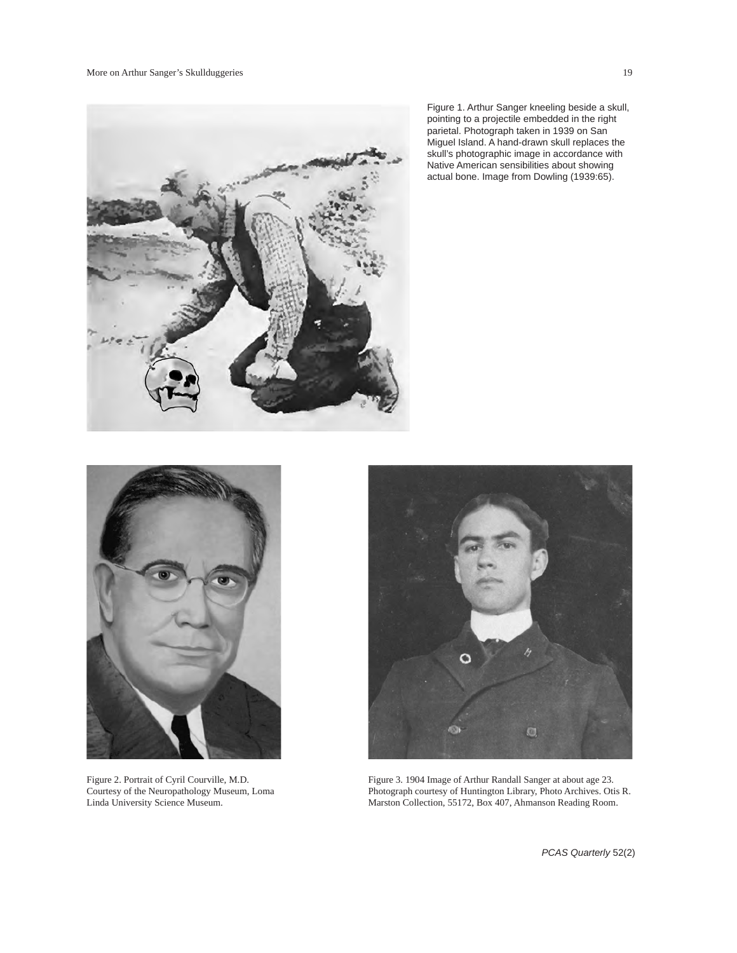

Figure 1. Arthur Sanger kneeling beside a skull, pointing to a projectile embedded in the right parietal. Photograph taken in 1939 on San Miguel Island. A hand-drawn skull replaces the skull's photographic image in accordance with Native American sensibilities about showing actual bone. Image from Dowling (1939:65).



Figure 2. Portrait of Cyril Courville, M.D. Courtesy of the Neuropathology Museum, Loma Linda University Science Museum.



Figure 3. 1904 Image of Arthur Randall Sanger at about age 23. Photograph courtesy of Huntington Library, Photo Archives. Otis R. Marston Collection, 55172, Box 407, Ahmanson Reading Room.

*PCAS Quarterly* 52(2)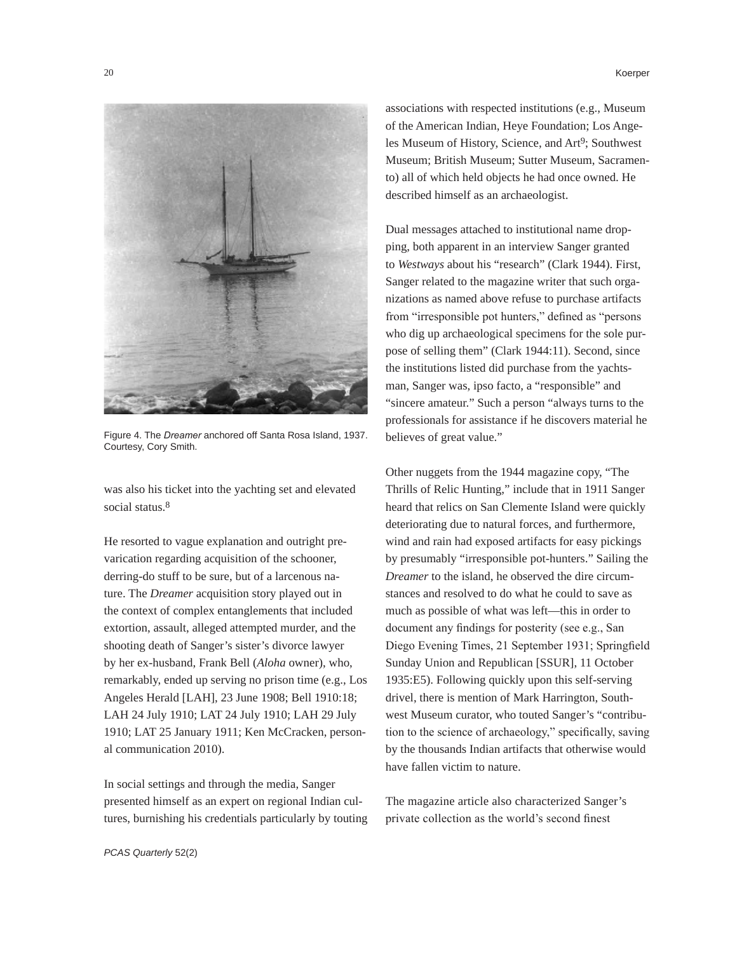

Figure 4. The *Dreamer* anchored off Santa Rosa Island, 1937. Courtesy, Cory Smith.

was also his ticket into the yachting set and elevated social status.<sup>8</sup>

He resorted to vague explanation and outright prevarication regarding acquisition of the schooner, derring-do stuff to be sure, but of a larcenous nature. The *Dreamer* acquisition story played out in the context of complex entanglements that included extortion, assault, alleged attempted murder, and the shooting death of Sanger's sister's divorce lawyer by her ex-husband, Frank Bell (*Aloha* owner), who, remarkably, ended up serving no prison time (e.g., Los Angeles Herald [LAH], 23 June 1908; Bell 1910:18; LAH 24 July 1910; LAT 24 July 1910; LAH 29 July 1910; LAT 25 January 1911; Ken McCracken, personal communication 2010).

In social settings and through the media, Sanger presented himself as an expert on regional Indian cultures, burnishing his credentials particularly by touting associations with respected institutions (e.g., Museum of the American Indian, Heye Foundation; Los Angeles Museum of History, Science, and Art<sup>9</sup>; Southwest Museum; British Museum; Sutter Museum, Sacramento) all of which held objects he had once owned. He described himself as an archaeologist.

Dual messages attached to institutional name dropping, both apparent in an interview Sanger granted to *Westways* about his "research" (Clark 1944). First, Sanger related to the magazine writer that such organizations as named above refuse to purchase artifacts from "irresponsible pot hunters," defined as "persons who dig up archaeological specimens for the sole purpose of selling them" (Clark 1944:11). Second, since the institutions listed did purchase from the yachtsman, Sanger was, ipso facto, a "responsible" and "sincere amateur." Such a person "always turns to the professionals for assistance if he discovers material he believes of great value."

Other nuggets from the 1944 magazine copy, "The Thrills of Relic Hunting," include that in 1911 Sanger heard that relics on San Clemente Island were quickly deteriorating due to natural forces, and furthermore, wind and rain had exposed artifacts for easy pickings by presumably "irresponsible pot-hunters." Sailing the *Dreamer* to the island, he observed the dire circumstances and resolved to do what he could to save as much as possible of what was left—this in order to document any findings for posterity (see e.g., San Diego Evening Times, 21 September 1931; Springfield Sunday Union and Republican [SSUR], 11 October 1935:E5). Following quickly upon this self-serving drivel, there is mention of Mark Harrington, Southwest Museum curator, who touted Sanger's "contribution to the science of archaeology," specifically, saving by the thousands Indian artifacts that otherwise would have fallen victim to nature.

The magazine article also characterized Sanger's private collection as the world's second finest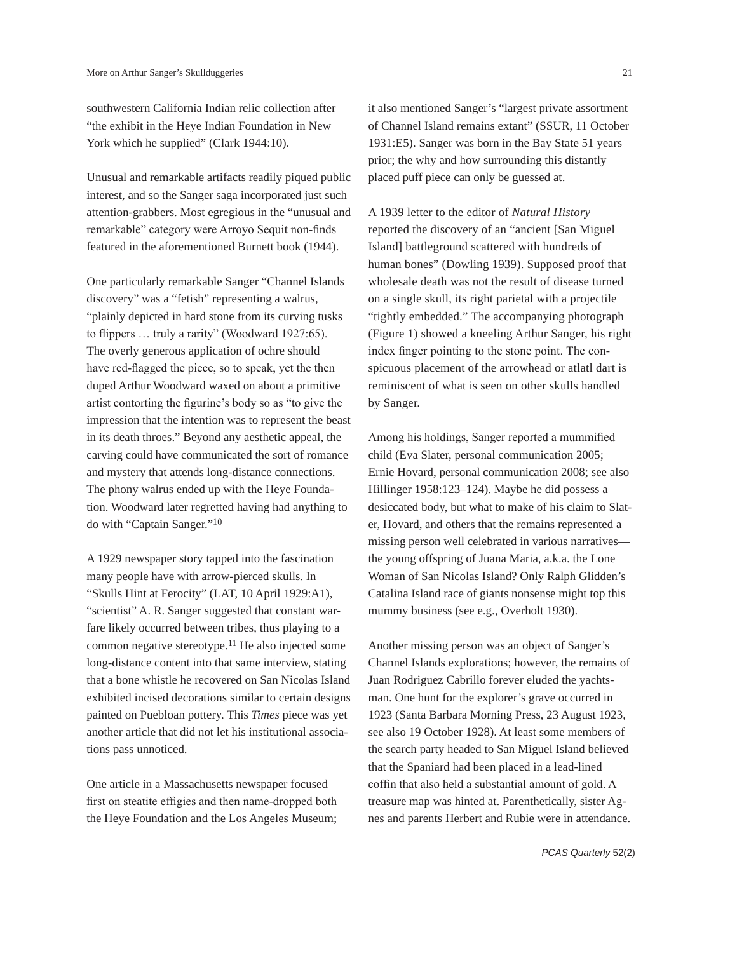southwestern California Indian relic collection after "the exhibit in the Heye Indian Foundation in New York which he supplied" (Clark 1944:10).

Unusual and remarkable artifacts readily piqued public interest, and so the Sanger saga incorporated just such attention-grabbers. Most egregious in the "unusual and remarkable" category were Arroyo Sequit non-finds featured in the aforementioned Burnett book (1944).

One particularly remarkable Sanger "Channel Islands discovery" was a "fetish" representing a walrus, "plainly depicted in hard stone from its curving tusks to flippers … truly a rarity" (Woodward 1927:65). The overly generous application of ochre should have red-flagged the piece, so to speak, yet the then duped Arthur Woodward waxed on about a primitive artist contorting the figurine's body so as "to give the impression that the intention was to represent the beast in its death throes." Beyond any aesthetic appeal, the carving could have communicated the sort of romance and mystery that attends long-distance connections. The phony walrus ended up with the Heye Foundation. Woodward later regretted having had anything to do with "Captain Sanger."10

A 1929 newspaper story tapped into the fascination many people have with arrow-pierced skulls. In "Skulls Hint at Ferocity" (LAT, 10 April 1929:A1), "scientist" A. R. Sanger suggested that constant warfare likely occurred between tribes, thus playing to a common negative stereotype.11 He also injected some long-distance content into that same interview, stating that a bone whistle he recovered on San Nicolas Island exhibited incised decorations similar to certain designs painted on Puebloan pottery. This *Times* piece was yet another article that did not let his institutional associations pass unnoticed.

One article in a Massachusetts newspaper focused first on steatite effigies and then name-dropped both the Heye Foundation and the Los Angeles Museum; it also mentioned Sanger's "largest private assortment of Channel Island remains extant" (SSUR, 11 October 1931:E5). Sanger was born in the Bay State 51 years prior; the why and how surrounding this distantly placed puff piece can only be guessed at.

A 1939 letter to the editor of *Natural History* reported the discovery of an "ancient [San Miguel Island] battleground scattered with hundreds of human bones" (Dowling 1939). Supposed proof that wholesale death was not the result of disease turned on a single skull, its right parietal with a projectile "tightly embedded." The accompanying photograph (Figure 1) showed a kneeling Arthur Sanger, his right index finger pointing to the stone point. The conspicuous placement of the arrowhead or atlatl dart is reminiscent of what is seen on other skulls handled by Sanger.

Among his holdings, Sanger reported a mummified child (Eva Slater, personal communication 2005; Ernie Hovard, personal communication 2008; see also Hillinger 1958:123–124). Maybe he did possess a desiccated body, but what to make of his claim to Slater, Hovard, and others that the remains represented a missing person well celebrated in various narratives the young offspring of Juana Maria, a.k.a. the Lone Woman of San Nicolas Island? Only Ralph Glidden's Catalina Island race of giants nonsense might top this mummy business (see e.g., Overholt 1930).

Another missing person was an object of Sanger's Channel Islands explorations; however, the remains of Juan Rodriguez Cabrillo forever eluded the yachtsman. One hunt for the explorer's grave occurred in 1923 (Santa Barbara Morning Press, 23 August 1923, see also 19 October 1928). At least some members of the search party headed to San Miguel Island believed that the Spaniard had been placed in a lead-lined coffin that also held a substantial amount of gold. A treasure map was hinted at. Parenthetically, sister Agnes and parents Herbert and Rubie were in attendance.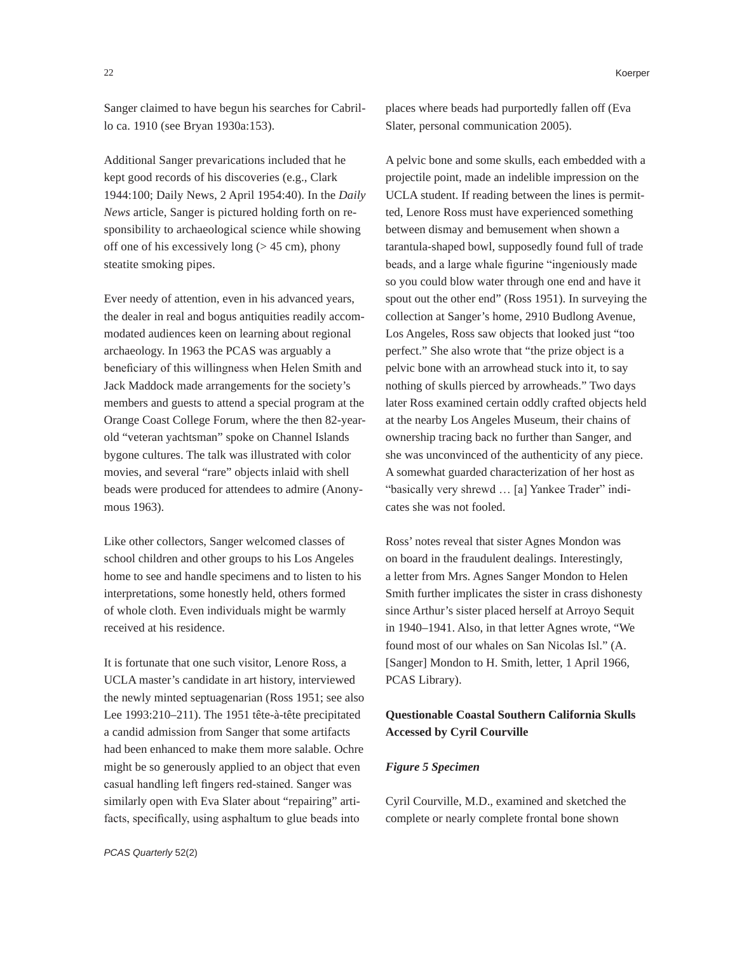Sanger claimed to have begun his searches for Cabrillo ca. 1910 (see Bryan 1930a:153).

Additional Sanger prevarications included that he kept good records of his discoveries (e.g., Clark 1944:100; Daily News, 2 April 1954:40). In the *Daily News* article, Sanger is pictured holding forth on responsibility to archaeological science while showing off one of his excessively long  $(> 45 \text{ cm})$ , phony steatite smoking pipes.

Ever needy of attention, even in his advanced years, the dealer in real and bogus antiquities readily accommodated audiences keen on learning about regional archaeology. In 1963 the PCAS was arguably a beneficiary of this willingness when Helen Smith and Jack Maddock made arrangements for the society's members and guests to attend a special program at the Orange Coast College Forum, where the then 82-yearold "veteran yachtsman" spoke on Channel Islands bygone cultures. The talk was illustrated with color movies, and several "rare" objects inlaid with shell beads were produced for attendees to admire (Anonymous 1963).

Like other collectors, Sanger welcomed classes of school children and other groups to his Los Angeles home to see and handle specimens and to listen to his interpretations, some honestly held, others formed of whole cloth. Even individuals might be warmly received at his residence.

It is fortunate that one such visitor, Lenore Ross, a UCLA master's candidate in art history, interviewed the newly minted septuagenarian (Ross 1951; see also Lee 1993:210–211). The 1951 tête-à-tête precipitated a candid admission from Sanger that some artifacts had been enhanced to make them more salable. Ochre might be so generously applied to an object that even casual handling left fingers red-stained. Sanger was similarly open with Eva Slater about "repairing" artifacts, specifically, using asphaltum to glue beads into

*PCAS Quarterly* 52(2)

places where beads had purportedly fallen off (Eva Slater, personal communication 2005).

A pelvic bone and some skulls, each embedded with a projectile point, made an indelible impression on the UCLA student. If reading between the lines is permitted, Lenore Ross must have experienced something between dismay and bemusement when shown a tarantula-shaped bowl, supposedly found full of trade beads, and a large whale figurine "ingeniously made so you could blow water through one end and have it spout out the other end" (Ross 1951). In surveying the collection at Sanger's home, 2910 Budlong Avenue, Los Angeles, Ross saw objects that looked just "too perfect." She also wrote that "the prize object is a pelvic bone with an arrowhead stuck into it, to say nothing of skulls pierced by arrowheads." Two days later Ross examined certain oddly crafted objects held at the nearby Los Angeles Museum, their chains of ownership tracing back no further than Sanger, and she was unconvinced of the authenticity of any piece. A somewhat guarded characterization of her host as "basically very shrewd … [a] Yankee Trader" indicates she was not fooled.

Ross' notes reveal that sister Agnes Mondon was on board in the fraudulent dealings. Interestingly, a letter from Mrs. Agnes Sanger Mondon to Helen Smith further implicates the sister in crass dishonesty since Arthur's sister placed herself at Arroyo Sequit in 1940–1941. Also, in that letter Agnes wrote, "We found most of our whales on San Nicolas Isl." (A. [Sanger] Mondon to H. Smith, letter, 1 April 1966, PCAS Library).

# **Questionable Coastal Southern California Skulls Accessed by Cyril Courville**

## *Figure 5 Specimen*

Cyril Courville, M.D., examined and sketched the complete or nearly complete frontal bone shown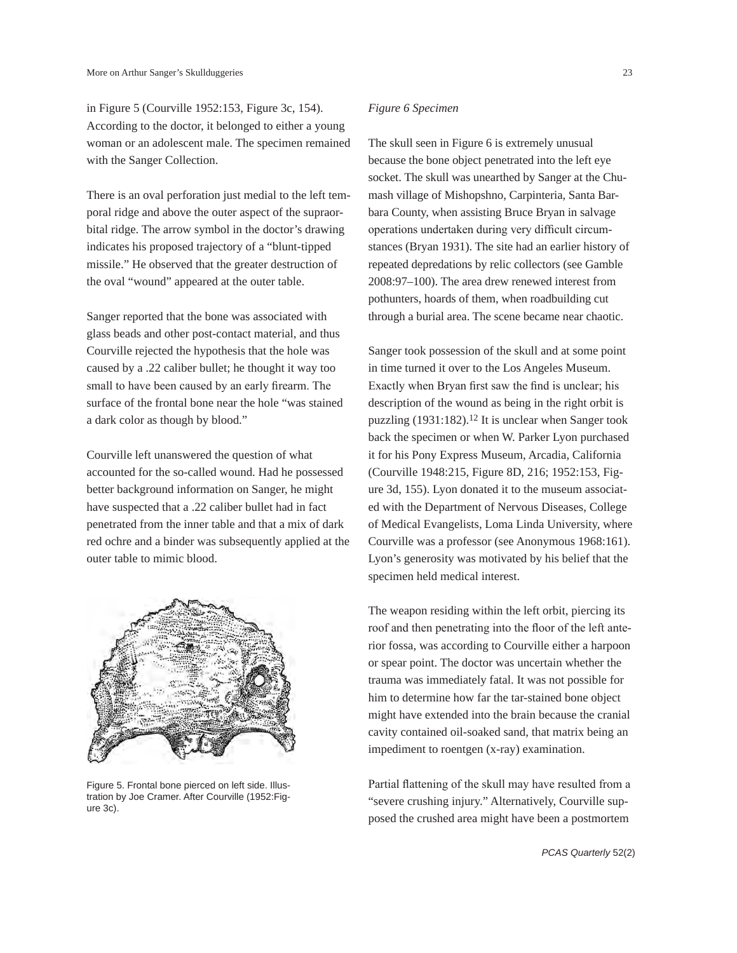in Figure 5 (Courville 1952:153, Figure 3c, 154). According to the doctor, it belonged to either a young woman or an adolescent male. The specimen remained with the Sanger Collection.

There is an oval perforation just medial to the left temporal ridge and above the outer aspect of the supraorbital ridge. The arrow symbol in the doctor's drawing indicates his proposed trajectory of a "blunt-tipped missile." He observed that the greater destruction of the oval "wound" appeared at the outer table.

Sanger reported that the bone was associated with glass beads and other post-contact material, and thus Courville rejected the hypothesis that the hole was caused by a .22 caliber bullet; he thought it way too small to have been caused by an early firearm. The surface of the frontal bone near the hole "was stained a dark color as though by blood."

Courville left unanswered the question of what accounted for the so-called wound. Had he possessed better background information on Sanger, he might have suspected that a .22 caliber bullet had in fact penetrated from the inner table and that a mix of dark red ochre and a binder was subsequently applied at the outer table to mimic blood.



Figure 5. Frontal bone pierced on left side. Illustration by Joe Cramer. After Courville (1952:Figure 3c).

## *Figure 6 Specimen*

The skull seen in Figure 6 is extremely unusual because the bone object penetrated into the left eye socket. The skull was unearthed by Sanger at the Chumash village of Mishopshno, Carpinteria, Santa Barbara County, when assisting Bruce Bryan in salvage operations undertaken during very difficult circumstances (Bryan 1931). The site had an earlier history of repeated depredations by relic collectors (see Gamble 2008:97–100). The area drew renewed interest from pothunters, hoards of them, when roadbuilding cut through a burial area. The scene became near chaotic.

Sanger took possession of the skull and at some point in time turned it over to the Los Angeles Museum. Exactly when Bryan first saw the find is unclear; his description of the wound as being in the right orbit is puzzling (1931:182).12 It is unclear when Sanger took back the specimen or when W. Parker Lyon purchased it for his Pony Express Museum, Arcadia, California (Courville 1948:215, Figure 8D, 216; 1952:153, Figure 3d, 155). Lyon donated it to the museum associated with the Department of Nervous Diseases, College of Medical Evangelists, Loma Linda University, where Courville was a professor (see Anonymous 1968:161). Lyon's generosity was motivated by his belief that the specimen held medical interest.

The weapon residing within the left orbit, piercing its roof and then penetrating into the floor of the left anterior fossa, was according to Courville either a harpoon or spear point. The doctor was uncertain whether the trauma was immediately fatal. It was not possible for him to determine how far the tar-stained bone object might have extended into the brain because the cranial cavity contained oil-soaked sand, that matrix being an impediment to roentgen (x-ray) examination.

Partial flattening of the skull may have resulted from a "severe crushing injury." Alternatively, Courville supposed the crushed area might have been a postmortem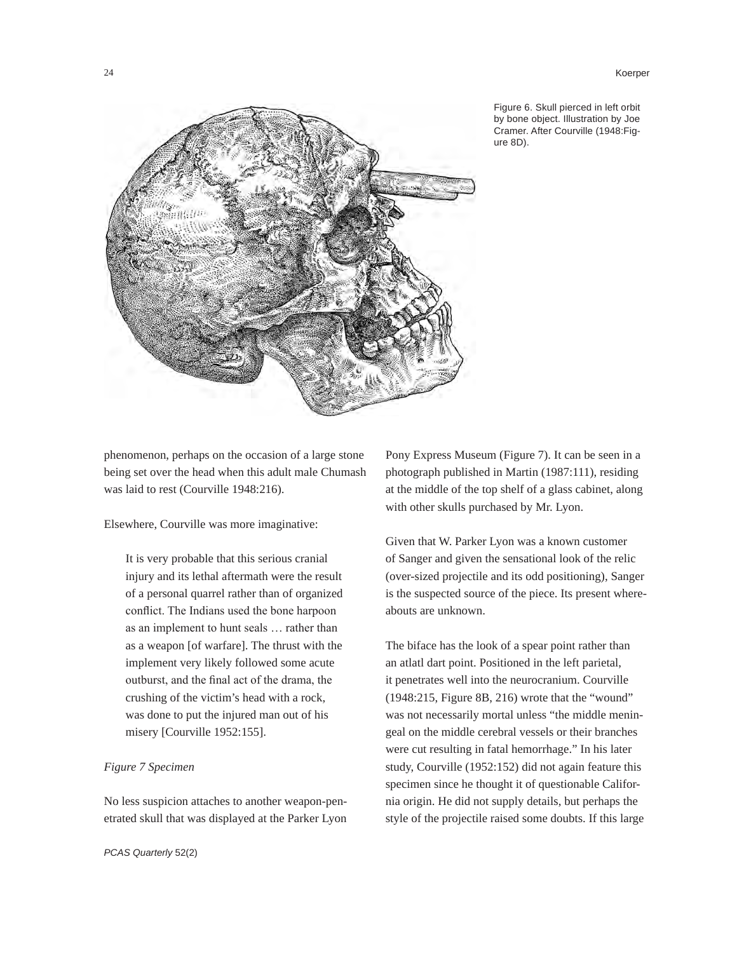#### 24 Koerper



Figure 6. Skull pierced in left orbit by bone object. Illustration by Joe Cramer. After Courville (1948:Figure 8D).

phenomenon, perhaps on the occasion of a large stone being set over the head when this adult male Chumash was laid to rest (Courville 1948:216).

Elsewhere, Courville was more imaginative:

It is very probable that this serious cranial injury and its lethal aftermath were the result of a personal quarrel rather than of organized conflict. The Indians used the bone harpoon as an implement to hunt seals … rather than as a weapon [of warfare]. The thrust with the implement very likely followed some acute outburst, and the final act of the drama, the crushing of the victim's head with a rock, was done to put the injured man out of his misery [Courville 1952:155].

## *Figure 7 Specimen*

No less suspicion attaches to another weapon-penetrated skull that was displayed at the Parker Lyon Pony Express Museum (Figure 7). It can be seen in a photograph published in Martin (1987:111), residing at the middle of the top shelf of a glass cabinet, along with other skulls purchased by Mr. Lyon.

Given that W. Parker Lyon was a known customer of Sanger and given the sensational look of the relic (over-sized projectile and its odd positioning), Sanger is the suspected source of the piece. Its present whereabouts are unknown.

The biface has the look of a spear point rather than an atlatl dart point. Positioned in the left parietal, it penetrates well into the neurocranium. Courville (1948:215, Figure 8B, 216) wrote that the "wound" was not necessarily mortal unless "the middle meningeal on the middle cerebral vessels or their branches were cut resulting in fatal hemorrhage." In his later study, Courville (1952:152) did not again feature this specimen since he thought it of questionable California origin. He did not supply details, but perhaps the style of the projectile raised some doubts. If this large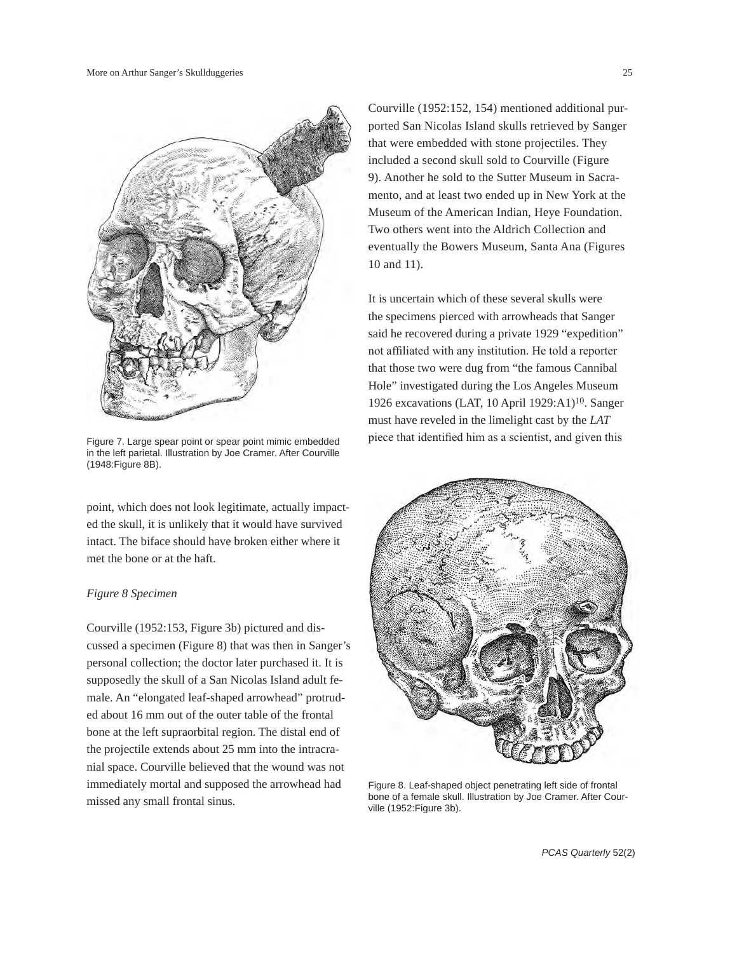

in the left parietal. Illustration by Joe Cramer. After Courville (1948:Figure 8B).

point, which does not look legitimate, actually impacted the skull, it is unlikely that it would have survived intact. The biface should have broken either where it met the bone or at the haft.

## *Figure 8 Specimen*

Courville (1952:153, Figure 3b) pictured and discussed a specimen (Figure 8) that was then in Sanger's personal collection; the doctor later purchased it. It is supposedly the skull of a San Nicolas Island adult female. An "elongated leaf-shaped arrowhead" protruded about 16 mm out of the outer table of the frontal bone at the left supraorbital region. The distal end of the projectile extends about 25 mm into the intracranial space. Courville believed that the wound was not immediately mortal and supposed the arrowhead had missed any small frontal sinus.

Courville (1952:152, 154) mentioned additional purported San Nicolas Island skulls retrieved by Sanger that were embedded with stone projectiles. They included a second skull sold to Courville (Figure 9). Another he sold to the Sutter Museum in Sacramento, and at least two ended up in New York at the Museum of the American Indian, Heye Foundation. Two others went into the Aldrich Collection and eventually the Bowers Museum, Santa Ana (Figures 10 and 11).

It is uncertain which of these several skulls were the specimens pierced with arrowheads that Sanger said he recovered during a private 1929 "expedition" not affiliated with any institution. He told a reporter that those two were dug from "the famous Cannibal Hole" investigated during the Los Angeles Museum 1926 excavations (LAT, 10 April 1929:A1)10. Sanger must have reveled in the limelight cast by the *LAT* Figure 7. Large spear point or spear point mimic embedded piece that identified him as a scientist, and given this



Figure 8. Leaf-shaped object penetrating left side of frontal bone of a female skull. Illustration by Joe Cramer. After Courville (1952:Figure 3b).

*PCAS Quarterly* 52(2)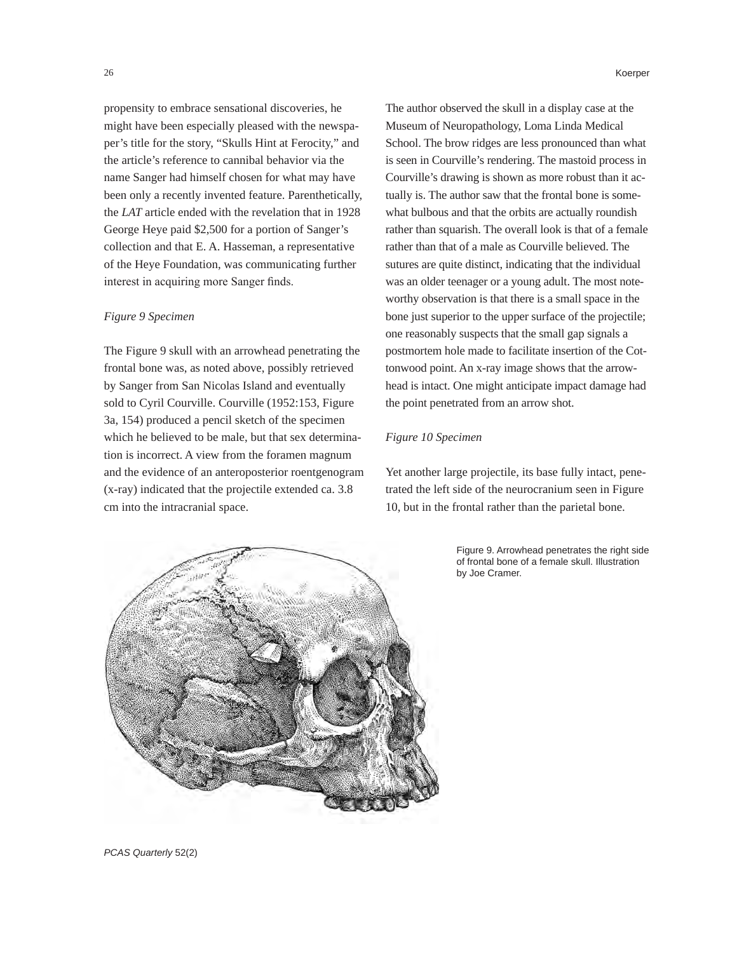propensity to embrace sensational discoveries, he might have been especially pleased with the newspaper's title for the story, "Skulls Hint at Ferocity," and the article's reference to cannibal behavior via the name Sanger had himself chosen for what may have been only a recently invented feature. Parenthetically, the *LAT* article ended with the revelation that in 1928 George Heye paid \$2,500 for a portion of Sanger's collection and that E. A. Hasseman, a representative of the Heye Foundation, was communicating further interest in acquiring more Sanger finds.

#### *Figure 9 Specimen*

The Figure 9 skull with an arrowhead penetrating the frontal bone was, as noted above, possibly retrieved by Sanger from San Nicolas Island and eventually sold to Cyril Courville. Courville (1952:153, Figure 3a, 154) produced a pencil sketch of the specimen which he believed to be male, but that sex determination is incorrect. A view from the foramen magnum and the evidence of an anteroposterior roentgenogram (x-ray) indicated that the projectile extended ca. 3.8 cm into the intracranial space.

The author observed the skull in a display case at the Museum of Neuropathology, Loma Linda Medical School. The brow ridges are less pronounced than what is seen in Courville's rendering. The mastoid process in Courville's drawing is shown as more robust than it actually is. The author saw that the frontal bone is somewhat bulbous and that the orbits are actually roundish rather than squarish. The overall look is that of a female rather than that of a male as Courville believed. The sutures are quite distinct, indicating that the individual was an older teenager or a young adult. The most noteworthy observation is that there is a small space in the bone just superior to the upper surface of the projectile; one reasonably suspects that the small gap signals a postmortem hole made to facilitate insertion of the Cottonwood point. An x-ray image shows that the arrowhead is intact. One might anticipate impact damage had the point penetrated from an arrow shot.

## *Figure 10 Specimen*

Yet another large projectile, its base fully intact, penetrated the left side of the neurocranium seen in Figure 10, but in the frontal rather than the parietal bone.

> Figure 9. Arrowhead penetrates the right side of frontal bone of a female skull. Illustration by Joe Cramer.



*PCAS Quarterly* 52(2)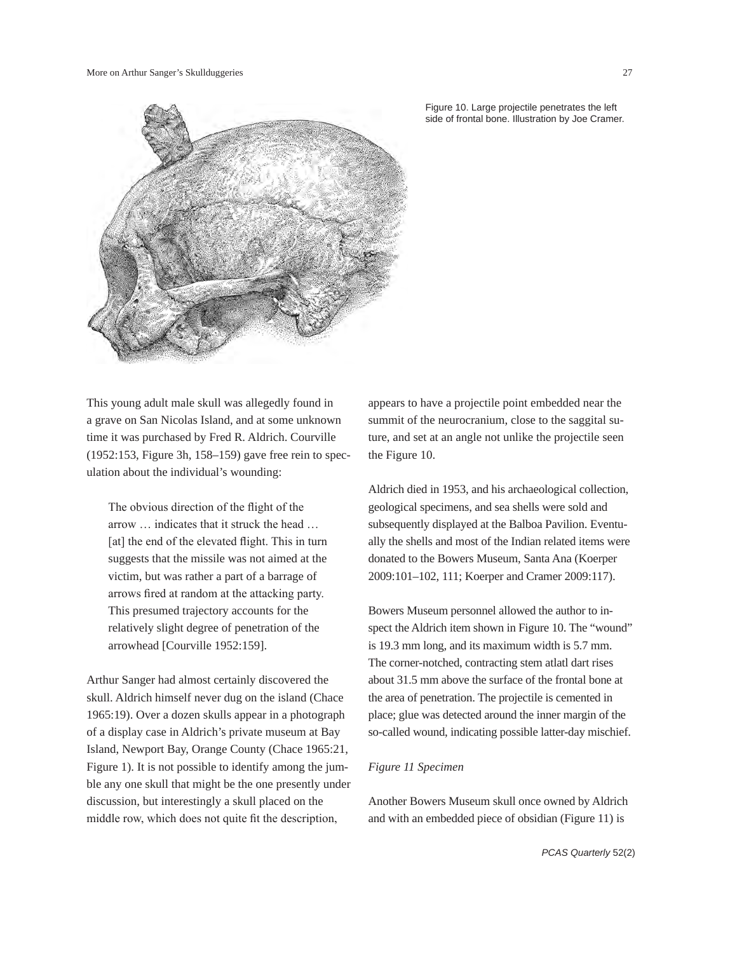

Figure 10. Large projectile penetrates the left side of frontal bone. Illustration by Joe Cramer.

This young adult male skull was allegedly found in a grave on San Nicolas Island, and at some unknown time it was purchased by Fred R. Aldrich. Courville (1952:153, Figure 3h, 158–159) gave free rein to speculation about the individual's wounding:

The obvious direction of the flight of the arrow … indicates that it struck the head … [at] the end of the elevated flight. This in turn suggests that the missile was not aimed at the victim, but was rather a part of a barrage of arrows fired at random at the attacking party. This presumed trajectory accounts for the relatively slight degree of penetration of the arrowhead [Courville 1952:159].

Arthur Sanger had almost certainly discovered the skull. Aldrich himself never dug on the island (Chace 1965:19). Over a dozen skulls appear in a photograph of a display case in Aldrich's private museum at Bay Island, Newport Bay, Orange County (Chace 1965:21, Figure 1). It is not possible to identify among the jumble any one skull that might be the one presently under discussion, but interestingly a skull placed on the middle row, which does not quite fit the description,

appears to have a projectile point embedded near the summit of the neurocranium, close to the saggital suture, and set at an angle not unlike the projectile seen the Figure 10.

Aldrich died in 1953, and his archaeological collection, geological specimens, and sea shells were sold and subsequently displayed at the Balboa Pavilion. Eventually the shells and most of the Indian related items were donated to the Bowers Museum, Santa Ana (Koerper 2009:101–102, 111; Koerper and Cramer 2009:117).

Bowers Museum personnel allowed the author to inspect the Aldrich item shown in Figure 10. The "wound" is 19.3 mm long, and its maximum width is 5.7 mm. The corner-notched, contracting stem atlatl dart rises about 31.5 mm above the surface of the frontal bone at the area of penetration. The projectile is cemented in place; glue was detected around the inner margin of the so-called wound, indicating possible latter-day mischief.

## *Figure 11 Specimen*

Another Bowers Museum skull once owned by Aldrich and with an embedded piece of obsidian (Figure 11) is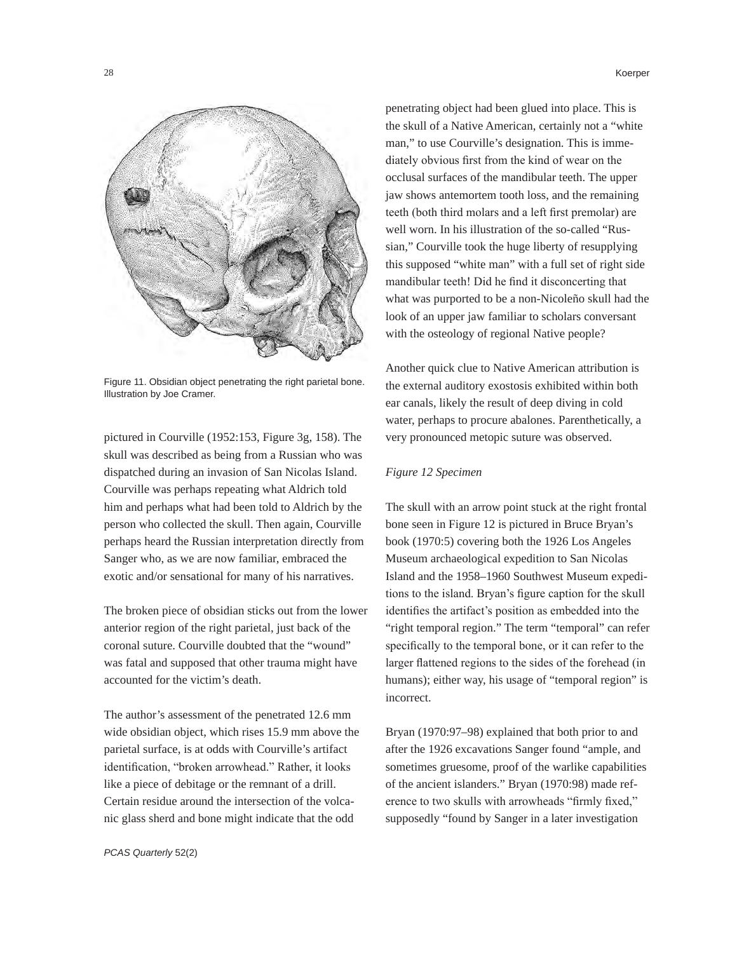

Figure 11. Obsidian object penetrating the right parietal bone. Illustration by Joe Cramer.

pictured in Courville (1952:153, Figure 3g, 158). The skull was described as being from a Russian who was dispatched during an invasion of San Nicolas Island. Courville was perhaps repeating what Aldrich told him and perhaps what had been told to Aldrich by the person who collected the skull. Then again, Courville perhaps heard the Russian interpretation directly from Sanger who, as we are now familiar, embraced the exotic and/or sensational for many of his narratives.

The broken piece of obsidian sticks out from the lower anterior region of the right parietal, just back of the coronal suture. Courville doubted that the "wound" was fatal and supposed that other trauma might have accounted for the victim's death.

The author's assessment of the penetrated 12.6 mm wide obsidian object, which rises 15.9 mm above the parietal surface, is at odds with Courville's artifact identification, "broken arrowhead." Rather, it looks like a piece of debitage or the remnant of a drill. Certain residue around the intersection of the volcanic glass sherd and bone might indicate that the odd

penetrating object had been glued into place. This is the skull of a Native American, certainly not a "white man," to use Courville's designation. This is imme-

diately obvious first from the kind of wear on the occlusal surfaces of the mandibular teeth. The upper jaw shows antemortem tooth loss, and the remaining teeth (both third molars and a left first premolar) are well worn. In his illustration of the so-called "Russian," Courville took the huge liberty of resupplying this supposed "white man" with a full set of right side mandibular teeth! Did he find it disconcerting that what was purported to be a non-Nicoleño skull had the look of an upper jaw familiar to scholars conversant with the osteology of regional Native people?

Another quick clue to Native American attribution is the external auditory exostosis exhibited within both ear canals, likely the result of deep diving in cold water, perhaps to procure abalones. Parenthetically, a very pronounced metopic suture was observed.

#### *Figure 12 Specimen*

The skull with an arrow point stuck at the right frontal bone seen in Figure 12 is pictured in Bruce Bryan's book (1970:5) covering both the 1926 Los Angeles Museum archaeological expedition to San Nicolas Island and the 1958–1960 Southwest Museum expeditions to the island. Bryan's figure caption for the skull identifies the artifact's position as embedded into the "right temporal region." The term "temporal" can refer specifically to the temporal bone, or it can refer to the larger flattened regions to the sides of the forehead (in humans); either way, his usage of "temporal region" is incorrect.

Bryan (1970:97–98) explained that both prior to and after the 1926 excavations Sanger found "ample, and sometimes gruesome, proof of the warlike capabilities of the ancient islanders." Bryan (1970:98) made reference to two skulls with arrowheads "firmly fixed," supposedly "found by Sanger in a later investigation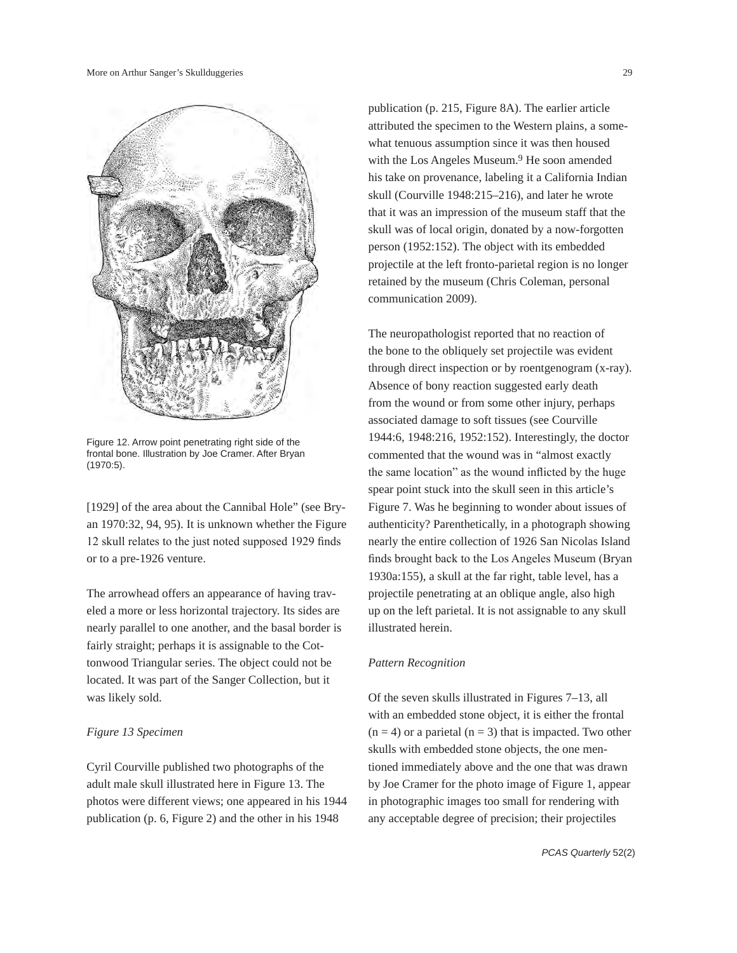

Figure 12. Arrow point penetrating right side of the frontal bone. Illustration by Joe Cramer. After Bryan (1970:5).

[1929] of the area about the Cannibal Hole" (see Bryan 1970:32, 94, 95). It is unknown whether the Figure 12 skull relates to the just noted supposed 1929 finds or to a pre-1926 venture.

The arrowhead offers an appearance of having traveled a more or less horizontal trajectory. Its sides are nearly parallel to one another, and the basal border is fairly straight; perhaps it is assignable to the Cottonwood Triangular series. The object could not be located. It was part of the Sanger Collection, but it was likely sold.

#### *Figure 13 Specimen*

Cyril Courville published two photographs of the adult male skull illustrated here in Figure 13. The photos were different views; one appeared in his 1944 publication (p. 6, Figure 2) and the other in his 1948

publication (p. 215, Figure 8A). The earlier article attributed the specimen to the Western plains, a somewhat tenuous assumption since it was then housed with the Los Angeles Museum.<sup>9</sup> He soon amended his take on provenance, labeling it a California Indian skull (Courville 1948:215–216), and later he wrote that it was an impression of the museum staff that the skull was of local origin, donated by a now-forgotten person (1952:152). The object with its embedded projectile at the left fronto-parietal region is no longer retained by the museum (Chris Coleman, personal communication 2009).

The neuropathologist reported that no reaction of the bone to the obliquely set projectile was evident through direct inspection or by roentgenogram (x-ray). Absence of bony reaction suggested early death from the wound or from some other injury, perhaps associated damage to soft tissues (see Courville 1944:6, 1948:216, 1952:152). Interestingly, the doctor commented that the wound was in "almost exactly the same location" as the wound inflicted by the huge spear point stuck into the skull seen in this article's Figure 7. Was he beginning to wonder about issues of authenticity? Parenthetically, in a photograph showing nearly the entire collection of 1926 San Nicolas Island finds brought back to the Los Angeles Museum (Bryan 1930a:155), a skull at the far right, table level, has a projectile penetrating at an oblique angle, also high up on the left parietal. It is not assignable to any skull illustrated herein.

## *Pattern Recognition*

Of the seven skulls illustrated in Figures 7–13, all with an embedded stone object, it is either the frontal  $(n = 4)$  or a parietal  $(n = 3)$  that is impacted. Two other skulls with embedded stone objects, the one mentioned immediately above and the one that was drawn by Joe Cramer for the photo image of Figure 1, appear in photographic images too small for rendering with any acceptable degree of precision; their projectiles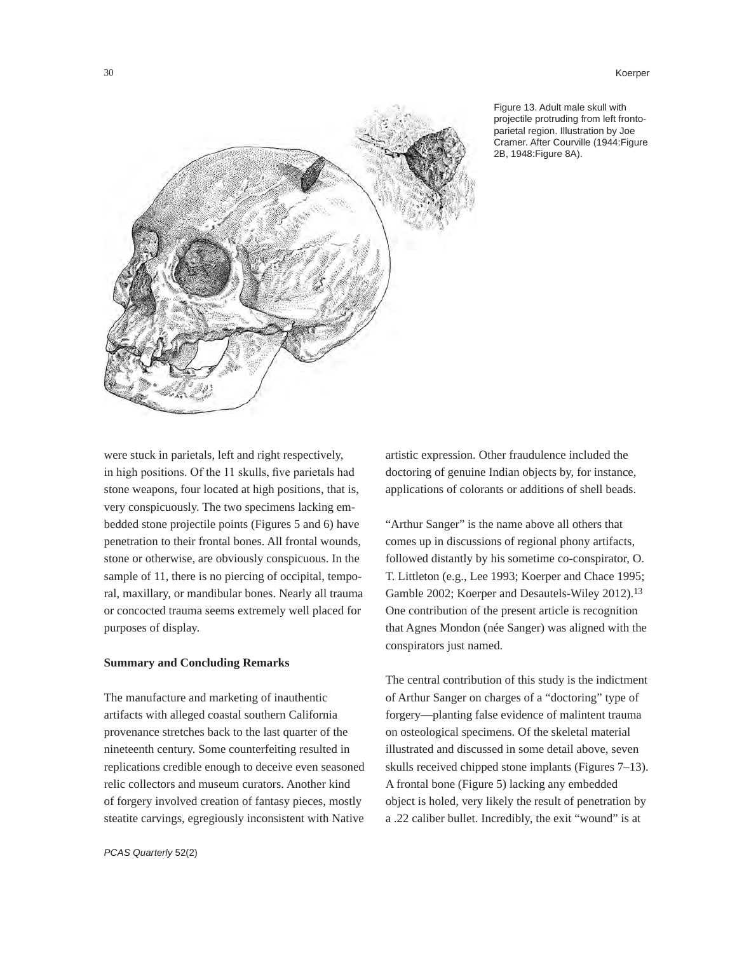30 Koerper



Figure 13. Adult male skull with projectile protruding from left frontoparietal region. Illustration by Joe Cramer. After Courville (1944:Figure 2B, 1948:Figure 8A).

were stuck in parietals, left and right respectively, in high positions. Of the 11 skulls, five parietals had stone weapons, four located at high positions, that is, very conspicuously. The two specimens lacking embedded stone projectile points (Figures 5 and 6) have penetration to their frontal bones. All frontal wounds, stone or otherwise, are obviously conspicuous. In the sample of 11, there is no piercing of occipital, temporal, maxillary, or mandibular bones. Nearly all trauma or concocted trauma seems extremely well placed for purposes of display.

## **Summary and Concluding Remarks**

The manufacture and marketing of inauthentic artifacts with alleged coastal southern California provenance stretches back to the last quarter of the nineteenth century. Some counterfeiting resulted in replications credible enough to deceive even seasoned relic collectors and museum curators. Another kind of forgery involved creation of fantasy pieces, mostly steatite carvings, egregiously inconsistent with Native

artistic expression. Other fraudulence included the doctoring of genuine Indian objects by, for instance, applications of colorants or additions of shell beads.

"Arthur Sanger" is the name above all others that comes up in discussions of regional phony artifacts, followed distantly by his sometime co-conspirator, O. T. Littleton (e.g., Lee 1993; Koerper and Chace 1995; Gamble 2002; Koerper and Desautels-Wiley 2012).13 One contribution of the present article is recognition that Agnes Mondon (née Sanger) was aligned with the conspirators just named.

The central contribution of this study is the indictment of Arthur Sanger on charges of a "doctoring" type of forgery—planting false evidence of malintent trauma on osteological specimens. Of the skeletal material illustrated and discussed in some detail above, seven skulls received chipped stone implants (Figures 7–13). A frontal bone (Figure 5) lacking any embedded object is holed, very likely the result of penetration by a .22 caliber bullet. Incredibly, the exit "wound" is at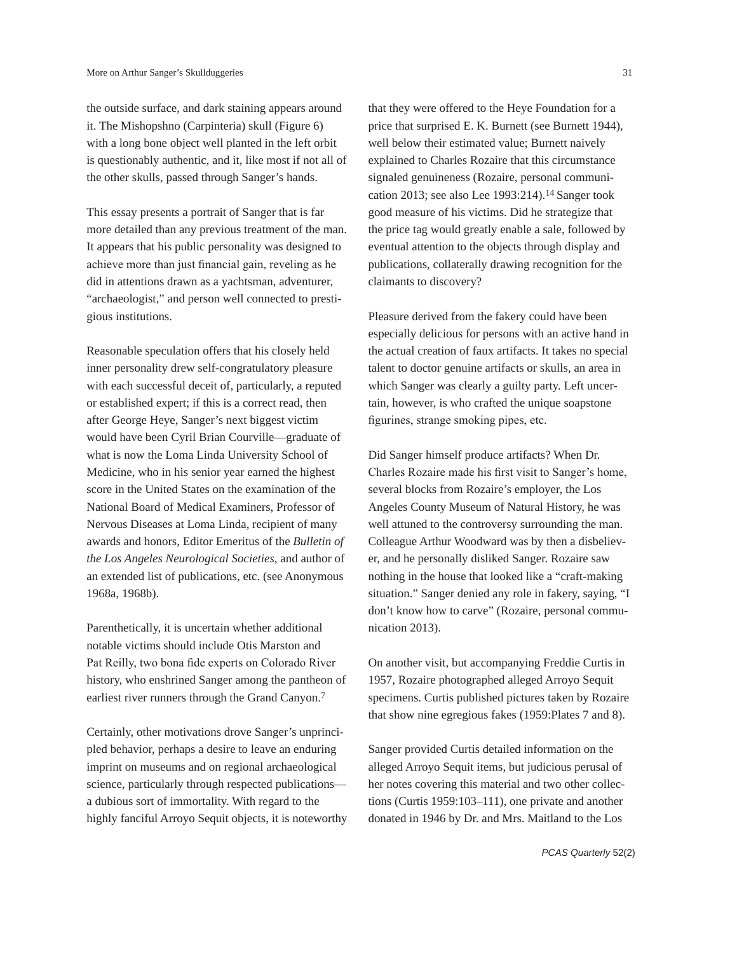the outside surface, and dark staining appears around it. The Mishopshno (Carpinteria) skull (Figure 6) with a long bone object well planted in the left orbit is questionably authentic, and it, like most if not all of the other skulls, passed through Sanger's hands.

This essay presents a portrait of Sanger that is far more detailed than any previous treatment of the man. It appears that his public personality was designed to achieve more than just financial gain, reveling as he did in attentions drawn as a yachtsman, adventurer, "archaeologist," and person well connected to prestigious institutions.

Reasonable speculation offers that his closely held inner personality drew self-congratulatory pleasure with each successful deceit of, particularly, a reputed or established expert; if this is a correct read, then after George Heye, Sanger's next biggest victim would have been Cyril Brian Courville—graduate of what is now the Loma Linda University School of Medicine, who in his senior year earned the highest score in the United States on the examination of the National Board of Medical Examiners, Professor of Nervous Diseases at Loma Linda, recipient of many awards and honors, Editor Emeritus of the *Bulletin of the Los Angeles Neurological Societies*, and author of an extended list of publications, etc. (see Anonymous 1968a, 1968b).

Parenthetically, it is uncertain whether additional notable victims should include Otis Marston and Pat Reilly, two bona fide experts on Colorado River history, who enshrined Sanger among the pantheon of earliest river runners through the Grand Canyon.7

Certainly, other motivations drove Sanger's unprincipled behavior, perhaps a desire to leave an enduring imprint on museums and on regional archaeological science, particularly through respected publications a dubious sort of immortality. With regard to the highly fanciful Arroyo Sequit objects, it is noteworthy

that they were offered to the Heye Foundation for a price that surprised E. K. Burnett (see Burnett 1944), well below their estimated value; Burnett naively explained to Charles Rozaire that this circumstance signaled genuineness (Rozaire, personal communication 2013; see also Lee 1993:214).14 Sanger took good measure of his victims. Did he strategize that the price tag would greatly enable a sale, followed by eventual attention to the objects through display and publications, collaterally drawing recognition for the claimants to discovery?

Pleasure derived from the fakery could have been especially delicious for persons with an active hand in the actual creation of faux artifacts. It takes no special talent to doctor genuine artifacts or skulls, an area in which Sanger was clearly a guilty party. Left uncertain, however, is who crafted the unique soapstone figurines, strange smoking pipes, etc.

Did Sanger himself produce artifacts? When Dr. Charles Rozaire made his first visit to Sanger's home, several blocks from Rozaire's employer, the Los Angeles County Museum of Natural History, he was well attuned to the controversy surrounding the man. Colleague Arthur Woodward was by then a disbeliever, and he personally disliked Sanger. Rozaire saw nothing in the house that looked like a "craft-making situation." Sanger denied any role in fakery, saying, "I don't know how to carve" (Rozaire, personal communication 2013).

On another visit, but accompanying Freddie Curtis in 1957, Rozaire photographed alleged Arroyo Sequit specimens. Curtis published pictures taken by Rozaire that show nine egregious fakes (1959:Plates 7 and 8).

Sanger provided Curtis detailed information on the alleged Arroyo Sequit items, but judicious perusal of her notes covering this material and two other collections (Curtis 1959:103–111), one private and another donated in 1946 by Dr. and Mrs. Maitland to the Los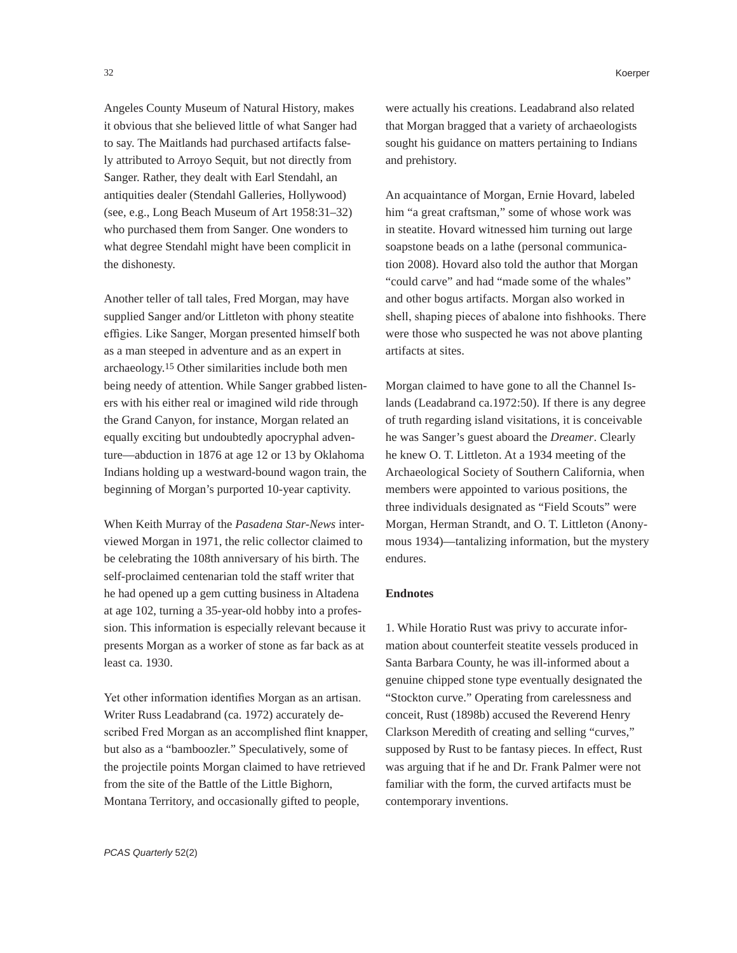Angeles County Museum of Natural History, makes it obvious that she believed little of what Sanger had to say. The Maitlands had purchased artifacts falsely attributed to Arroyo Sequit, but not directly from Sanger. Rather, they dealt with Earl Stendahl, an antiquities dealer (Stendahl Galleries, Hollywood) (see, e.g., Long Beach Museum of Art 1958:31–32) who purchased them from Sanger. One wonders to what degree Stendahl might have been complicit in the dishonesty.

Another teller of tall tales, Fred Morgan, may have supplied Sanger and/or Littleton with phony steatite effigies. Like Sanger, Morgan presented himself both as a man steeped in adventure and as an expert in archaeology.15 Other similarities include both men being needy of attention. While Sanger grabbed listeners with his either real or imagined wild ride through the Grand Canyon, for instance, Morgan related an equally exciting but undoubtedly apocryphal adventure—abduction in 1876 at age 12 or 13 by Oklahoma Indians holding up a westward-bound wagon train, the beginning of Morgan's purported 10-year captivity.

When Keith Murray of the *Pasadena Star-News* interviewed Morgan in 1971, the relic collector claimed to be celebrating the 108th anniversary of his birth. The self-proclaimed centenarian told the staff writer that he had opened up a gem cutting business in Altadena at age 102, turning a 35-year-old hobby into a profession. This information is especially relevant because it presents Morgan as a worker of stone as far back as at least ca. 1930.

Yet other information identifies Morgan as an artisan. Writer Russ Leadabrand (ca. 1972) accurately described Fred Morgan as an accomplished flint knapper, but also as a "bamboozler." Speculatively, some of the projectile points Morgan claimed to have retrieved from the site of the Battle of the Little Bighorn, Montana Territory, and occasionally gifted to people,

were actually his creations. Leadabrand also related that Morgan bragged that a variety of archaeologists sought his guidance on matters pertaining to Indians and prehistory.

An acquaintance of Morgan, Ernie Hovard, labeled him "a great craftsman," some of whose work was in steatite. Hovard witnessed him turning out large soapstone beads on a lathe (personal communication 2008). Hovard also told the author that Morgan "could carve" and had "made some of the whales" and other bogus artifacts. Morgan also worked in shell, shaping pieces of abalone into fishhooks. There were those who suspected he was not above planting artifacts at sites.

Morgan claimed to have gone to all the Channel Islands (Leadabrand ca.1972:50). If there is any degree of truth regarding island visitations, it is conceivable he was Sanger's guest aboard the *Dreamer*. Clearly he knew O. T. Littleton. At a 1934 meeting of the Archaeological Society of Southern California, when members were appointed to various positions, the three individuals designated as "Field Scouts" were Morgan, Herman Strandt, and O. T. Littleton (Anonymous 1934)—tantalizing information, but the mystery endures.

## **Endnotes**

1. While Horatio Rust was privy to accurate information about counterfeit steatite vessels produced in Santa Barbara County, he was ill-informed about a genuine chipped stone type eventually designated the "Stockton curve." Operating from carelessness and conceit, Rust (1898b) accused the Reverend Henry Clarkson Meredith of creating and selling "curves," supposed by Rust to be fantasy pieces. In effect, Rust was arguing that if he and Dr. Frank Palmer were not familiar with the form, the curved artifacts must be contemporary inventions.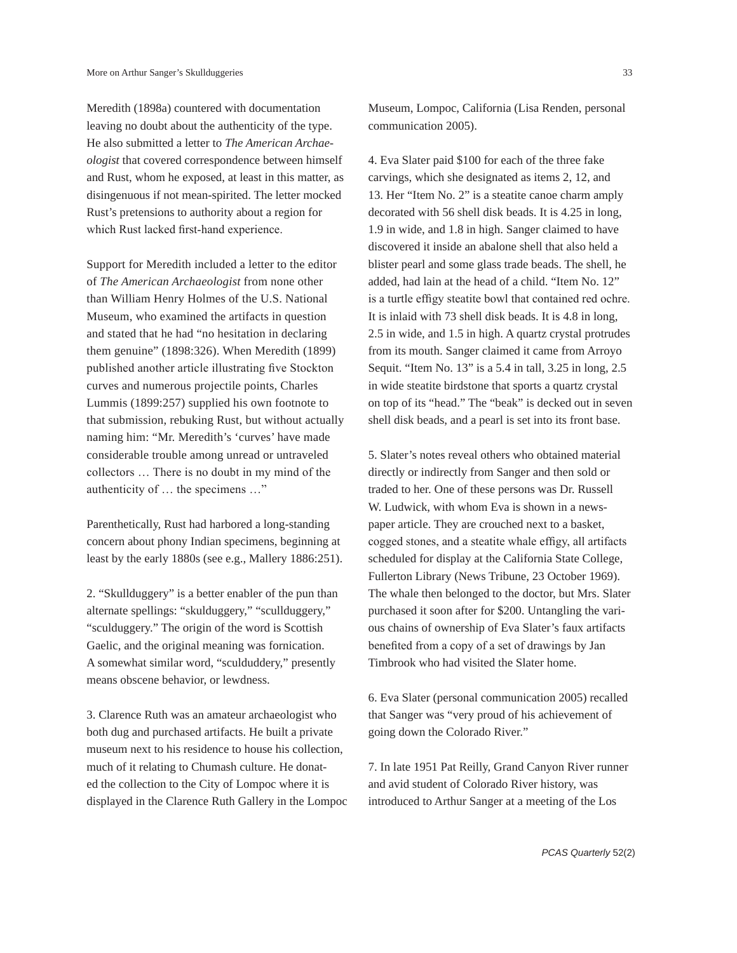Meredith (1898a) countered with documentation leaving no doubt about the authenticity of the type. He also submitted a letter to *The American Archaeologist* that covered correspondence between himself and Rust, whom he exposed, at least in this matter, as disingenuous if not mean-spirited. The letter mocked Rust's pretensions to authority about a region for which Rust lacked first-hand experience.

Support for Meredith included a letter to the editor of *The American Archaeologist* from none other than William Henry Holmes of the U.S. National Museum, who examined the artifacts in question and stated that he had "no hesitation in declaring them genuine" (1898:326). When Meredith (1899) published another article illustrating five Stockton curves and numerous projectile points, Charles Lummis (1899:257) supplied his own footnote to that submission, rebuking Rust, but without actually naming him: "Mr. Meredith's 'curves' have made considerable trouble among unread or untraveled collectors … There is no doubt in my mind of the authenticity of … the specimens …"

Parenthetically, Rust had harbored a long-standing concern about phony Indian specimens, beginning at least by the early 1880s (see e.g., Mallery 1886:251).

2. "Skullduggery" is a better enabler of the pun than alternate spellings: "skulduggery," "scullduggery," "sculduggery." The origin of the word is Scottish Gaelic, and the original meaning was fornication. A somewhat similar word, "sculduddery," presently means obscene behavior, or lewdness.

3. Clarence Ruth was an amateur archaeologist who both dug and purchased artifacts. He built a private museum next to his residence to house his collection, much of it relating to Chumash culture. He donated the collection to the City of Lompoc where it is displayed in the Clarence Ruth Gallery in the Lompoc Museum, Lompoc, California (Lisa Renden, personal communication 2005).

4. Eva Slater paid \$100 for each of the three fake carvings, which she designated as items 2, 12, and 13. Her "Item No. 2" is a steatite canoe charm amply decorated with 56 shell disk beads. It is 4.25 in long, 1.9 in wide, and 1.8 in high. Sanger claimed to have discovered it inside an abalone shell that also held a blister pearl and some glass trade beads. The shell, he added, had lain at the head of a child. "Item No. 12" is a turtle effigy steatite bowl that contained red ochre. It is inlaid with 73 shell disk beads. It is 4.8 in long, 2.5 in wide, and 1.5 in high. A quartz crystal protrudes from its mouth. Sanger claimed it came from Arroyo Sequit. "Item No. 13" is a 5.4 in tall, 3.25 in long, 2.5 in wide steatite birdstone that sports a quartz crystal on top of its "head." The "beak" is decked out in seven shell disk beads, and a pearl is set into its front base.

5. Slater's notes reveal others who obtained material directly or indirectly from Sanger and then sold or traded to her. One of these persons was Dr. Russell W. Ludwick, with whom Eva is shown in a newspaper article. They are crouched next to a basket, cogged stones, and a steatite whale effigy, all artifacts scheduled for display at the California State College, Fullerton Library (News Tribune, 23 October 1969). The whale then belonged to the doctor, but Mrs. Slater purchased it soon after for \$200. Untangling the various chains of ownership of Eva Slater's faux artifacts benefited from a copy of a set of drawings by Jan Timbrook who had visited the Slater home.

6. Eva Slater (personal communication 2005) recalled that Sanger was "very proud of his achievement of going down the Colorado River."

7. In late 1951 Pat Reilly, Grand Canyon River runner and avid student of Colorado River history, was introduced to Arthur Sanger at a meeting of the Los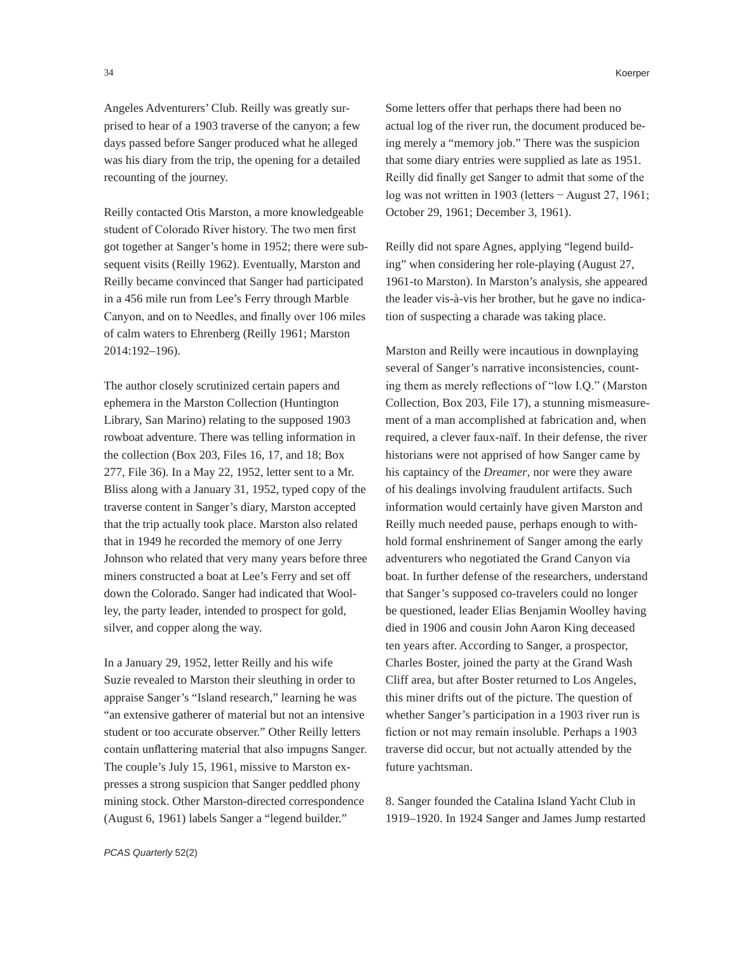Angeles Adventurers' Club. Reilly was greatly surprised to hear of a 1903 traverse of the canyon; a few days passed before Sanger produced what he alleged was his diary from the trip, the opening for a detailed recounting of the journey.

Reilly contacted Otis Marston, a more knowledgeable student of Colorado River history. The two men first got together at Sanger's home in 1952; there were subsequent visits (Reilly 1962). Eventually, Marston and Reilly became convinced that Sanger had participated in a 456 mile run from Lee's Ferry through Marble Canyon, and on to Needles, and finally over 106 miles of calm waters to Ehrenberg (Reilly 1961; Marston 2014:192–196).

The author closely scrutinized certain papers and ephemera in the Marston Collection (Huntington Library, San Marino) relating to the supposed 1903 rowboat adventure. There was telling information in the collection (Box 203, Files 16, 17, and 18; Box 277, File 36). In a May 22, 1952, letter sent to a Mr. Bliss along with a January 31, 1952, typed copy of the traverse content in Sanger's diary, Marston accepted that the trip actually took place. Marston also related that in 1949 he recorded the memory of one Jerry Johnson who related that very many years before three miners constructed a boat at Lee's Ferry and set off down the Colorado. Sanger had indicated that Woolley, the party leader, intended to prospect for gold, silver, and copper along the way.

In a January 29, 1952, letter Reilly and his wife Suzie revealed to Marston their sleuthing in order to appraise Sanger's "Island research," learning he was "an extensive gatherer of material but not an intensive student or too accurate observer." Other Reilly letters contain unflattering material that also impugns Sanger. The couple's July 15, 1961, missive to Marston expresses a strong suspicion that Sanger peddled phony mining stock. Other Marston-directed correspondence (August 6, 1961) labels Sanger a "legend builder."

Some letters offer that perhaps there had been no actual log of the river run, the document produced being merely a "memory job." There was the suspicion that some diary entries were supplied as late as 1951. Reilly did finally get Sanger to admit that some of the log was not written in 1903 (letters − August 27, 1961; October 29, 1961; December 3, 1961).

Reilly did not spare Agnes, applying "legend building" when considering her role-playing (August 27, 1961-to Marston). In Marston's analysis, she appeared the leader vis-à-vis her brother, but he gave no indication of suspecting a charade was taking place.

Marston and Reilly were incautious in downplaying several of Sanger's narrative inconsistencies, counting them as merely reflections of "low I.Q." (Marston Collection, Box 203, File 17), a stunning mismeasurement of a man accomplished at fabrication and, when required, a clever faux-naïf. In their defense, the river historians were not apprised of how Sanger came by his captaincy of the *Dreamer*, nor were they aware of his dealings involving fraudulent artifacts. Such information would certainly have given Marston and Reilly much needed pause, perhaps enough to withhold formal enshrinement of Sanger among the early adventurers who negotiated the Grand Canyon via boat. In further defense of the researchers, understand that Sanger's supposed co-travelers could no longer be questioned, leader Elias Benjamin Woolley having died in 1906 and cousin John Aaron King deceased ten years after. According to Sanger, a prospector, Charles Boster, joined the party at the Grand Wash Cliff area, but after Boster returned to Los Angeles, this miner drifts out of the picture. The question of whether Sanger's participation in a 1903 river run is fiction or not may remain insoluble. Perhaps a 1903 traverse did occur, but not actually attended by the future yachtsman.

8. Sanger founded the Catalina Island Yacht Club in 1919–1920. In 1924 Sanger and James Jump restarted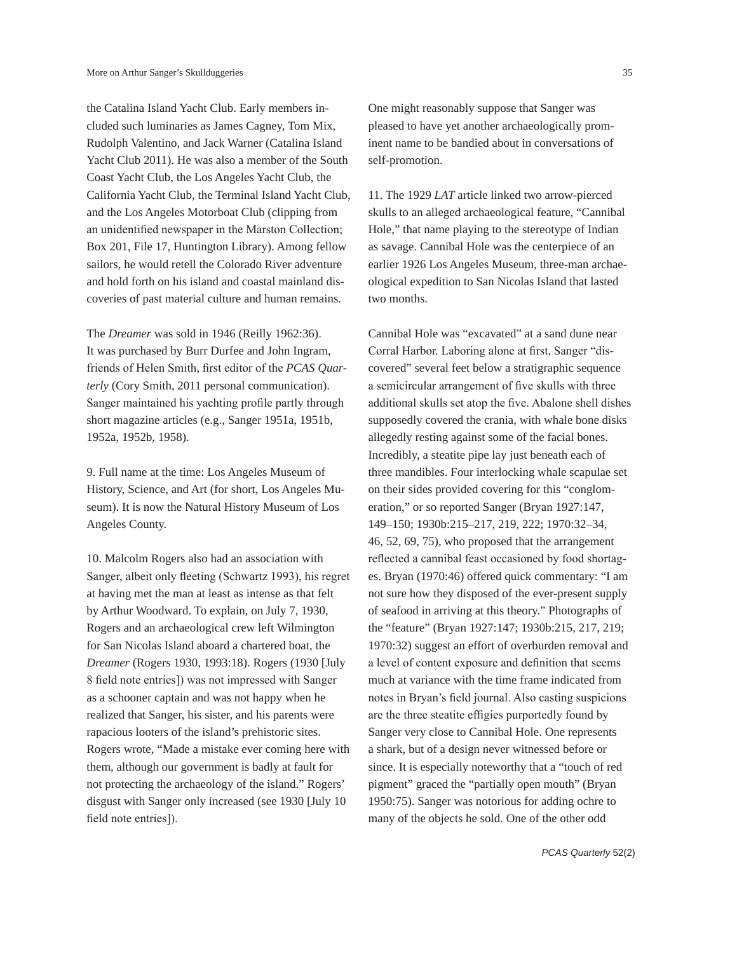the Catalina Island Yacht Club. Early members included such luminaries as James Cagney, Tom Mix, Rudolph Valentino, and Jack Warner (Catalina Island Yacht Club 2011). He was also a member of the South Coast Yacht Club, the Los Angeles Yacht Club, the California Yacht Club, the Terminal Island Yacht Club, and the Los Angeles Motorboat Club (clipping from an unidentified newspaper in the Marston Collection; Box 201, File 17, Huntington Library). Among fellow sailors, he would retell the Colorado River adventure and hold forth on his island and coastal mainland discoveries of past material culture and human remains.

The *Dreamer* was sold in 1946 (Reilly 1962:36). It was purchased by Burr Durfee and John Ingram, friends of Helen Smith, first editor of the *PCAS Quarterly* (Cory Smith, 2011 personal communication). Sanger maintained his yachting profile partly through short magazine articles (e.g., Sanger 1951a, 1951b, 1952a, 1952b, 1958).

9. Full name at the time: Los Angeles Museum of History, Science, and Art (for short, Los Angeles Museum). It is now the Natural History Museum of Los Angeles County.

10. Malcolm Rogers also had an association with Sanger, albeit only fleeting (Schwartz 1993), his regret at having met the man at least as intense as that felt by Arthur Woodward. To explain, on July 7, 1930, Rogers and an archaeological crew left Wilmington for San Nicolas Island aboard a chartered boat, the *Dreamer* (Rogers 1930, 1993:18). Rogers (1930 [July 8 field note entries]) was not impressed with Sanger as a schooner captain and was not happy when he realized that Sanger, his sister, and his parents were rapacious looters of the island's prehistoric sites. Rogers wrote, "Made a mistake ever coming here with them, although our government is badly at fault for not protecting the archaeology of the island." Rogers' disgust with Sanger only increased (see 1930 [July 10 field note entries]).

One might reasonably suppose that Sanger was pleased to have yet another archaeologically prominent name to be bandied about in conversations of self-promotion.

11. The 1929 *LAT* article linked two arrow-pierced skulls to an alleged archaeological feature, "Cannibal Hole," that name playing to the stereotype of Indian as savage. Cannibal Hole was the centerpiece of an earlier 1926 Los Angeles Museum, three-man archaeological expedition to San Nicolas Island that lasted two months.

Cannibal Hole was "excavated" at a sand dune near Corral Harbor. Laboring alone at first, Sanger "discovered" several feet below a stratigraphic sequence a semicircular arrangement of five skulls with three additional skulls set atop the five. Abalone shell dishes supposedly covered the crania, with whale bone disks allegedly resting against some of the facial bones. Incredibly, a steatite pipe lay just beneath each of three mandibles. Four interlocking whale scapulae set on their sides provided covering for this "conglomeration," or so reported Sanger (Bryan 1927:147, 149–150; 1930b:215–217, 219, 222; 1970:32–34, 46, 52, 69, 75), who proposed that the arrangement reflected a cannibal feast occasioned by food shortages. Bryan (1970:46) offered quick commentary: "I am not sure how they disposed of the ever-present supply of seafood in arriving at this theory." Photographs of the "feature" (Bryan 1927:147; 1930b:215, 217, 219; 1970:32) suggest an effort of overburden removal and a level of content exposure and definition that seems much at variance with the time frame indicated from notes in Bryan's field journal. Also casting suspicions are the three steatite effigies purportedly found by Sanger very close to Cannibal Hole. One represents a shark, but of a design never witnessed before or since. It is especially noteworthy that a "touch of red pigment" graced the "partially open mouth" (Bryan 1950:75). Sanger was notorious for adding ochre to many of the objects he sold. One of the other odd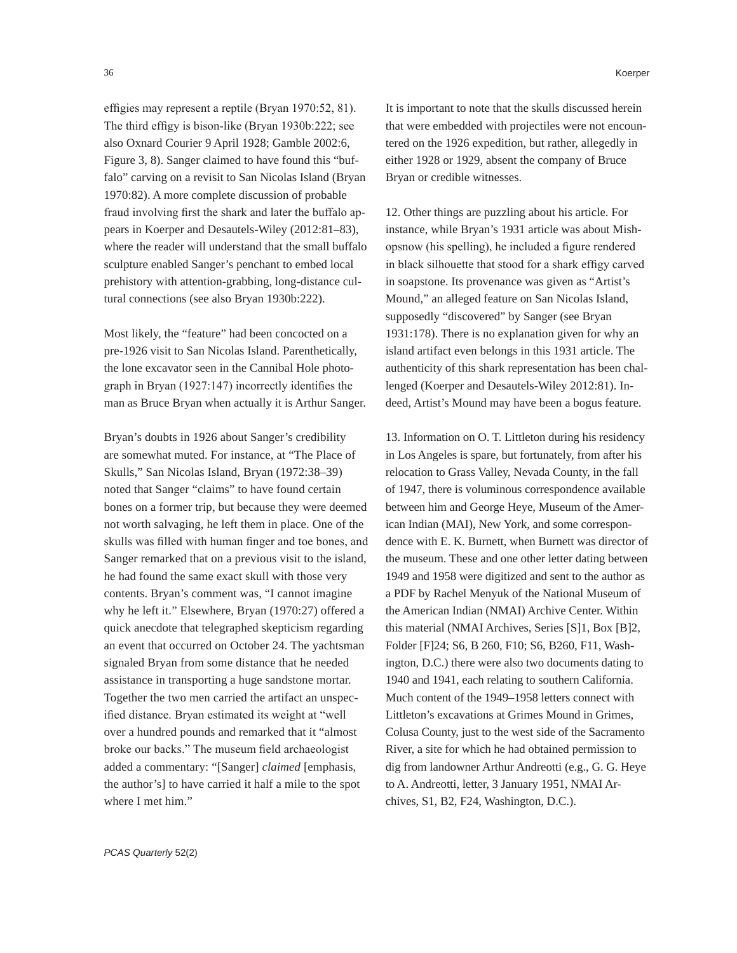effigies may represent a reptile (Bryan 1970:52, 81). The third effigy is bison-like (Bryan 1930b:222; see also Oxnard Courier 9 April 1928; Gamble 2002:6, Figure 3, 8). Sanger claimed to have found this "buffalo" carving on a revisit to San Nicolas Island (Bryan 1970:82). A more complete discussion of probable fraud involving first the shark and later the buffalo appears in Koerper and Desautels-Wiley (2012:81–83), where the reader will understand that the small buffalo sculpture enabled Sanger's penchant to embed local prehistory with attention-grabbing, long-distance cultural connections (see also Bryan 1930b:222).

Most likely, the "feature" had been concocted on a pre-1926 visit to San Nicolas Island. Parenthetically, the lone excavator seen in the Cannibal Hole photograph in Bryan (1927:147) incorrectly identifies the man as Bruce Bryan when actually it is Arthur Sanger.

Bryan's doubts in 1926 about Sanger's credibility are somewhat muted. For instance, at "The Place of Skulls," San Nicolas Island, Bryan (1972:38–39) noted that Sanger "claims" to have found certain bones on a former trip, but because they were deemed not worth salvaging, he left them in place. One of the skulls was filled with human finger and toe bones, and Sanger remarked that on a previous visit to the island, he had found the same exact skull with those very contents. Bryan's comment was, "I cannot imagine why he left it." Elsewhere, Bryan (1970:27) offered a quick anecdote that telegraphed skepticism regarding an event that occurred on October 24. The yachtsman signaled Bryan from some distance that he needed assistance in transporting a huge sandstone mortar. Together the two men carried the artifact an unspecified distance. Bryan estimated its weight at "well over a hundred pounds and remarked that it "almost broke our backs." The museum field archaeologist added a commentary: "[Sanger] *claimed* [emphasis, the author's] to have carried it half a mile to the spot where I met him."

It is important to note that the skulls discussed herein that were embedded with projectiles were not encountered on the 1926 expedition, but rather, allegedly in either 1928 or 1929, absent the company of Bruce Bryan or credible witnesses.

12. Other things are puzzling about his article. For instance, while Bryan's 1931 article was about Mishopsnow (his spelling), he included a figure rendered in black silhouette that stood for a shark effigy carved in soapstone. Its provenance was given as "Artist's Mound," an alleged feature on San Nicolas Island, supposedly "discovered" by Sanger (see Bryan 1931:178). There is no explanation given for why an island artifact even belongs in this 1931 article. The authenticity of this shark representation has been challenged (Koerper and Desautels-Wiley 2012:81). Indeed, Artist's Mound may have been a bogus feature.

13. Information on O. T. Littleton during his residency in Los Angeles is spare, but fortunately, from after his relocation to Grass Valley, Nevada County, in the fall of 1947, there is voluminous correspondence available between him and George Heye, Museum of the American Indian (MAI), New York, and some correspondence with E. K. Burnett, when Burnett was director of the museum. These and one other letter dating between 1949 and 1958 were digitized and sent to the author as a PDF by Rachel Menyuk of the National Museum of the American Indian (NMAI) Archive Center. Within this material (NMAI Archives, Series [S]1, Box [B]2, Folder [F]24; S6, B 260, F10; S6, B260, F11, Washington, D.C.) there were also two documents dating to 1940 and 1941, each relating to southern California. Much content of the 1949–1958 letters connect with Littleton's excavations at Grimes Mound in Grimes, Colusa County, just to the west side of the Sacramento River, a site for which he had obtained permission to dig from landowner Arthur Andreotti (e.g., G. G. Heye to A. Andreotti, letter, 3 January 1951, NMAI Archives, S1, B2, F24, Washington, D.C.).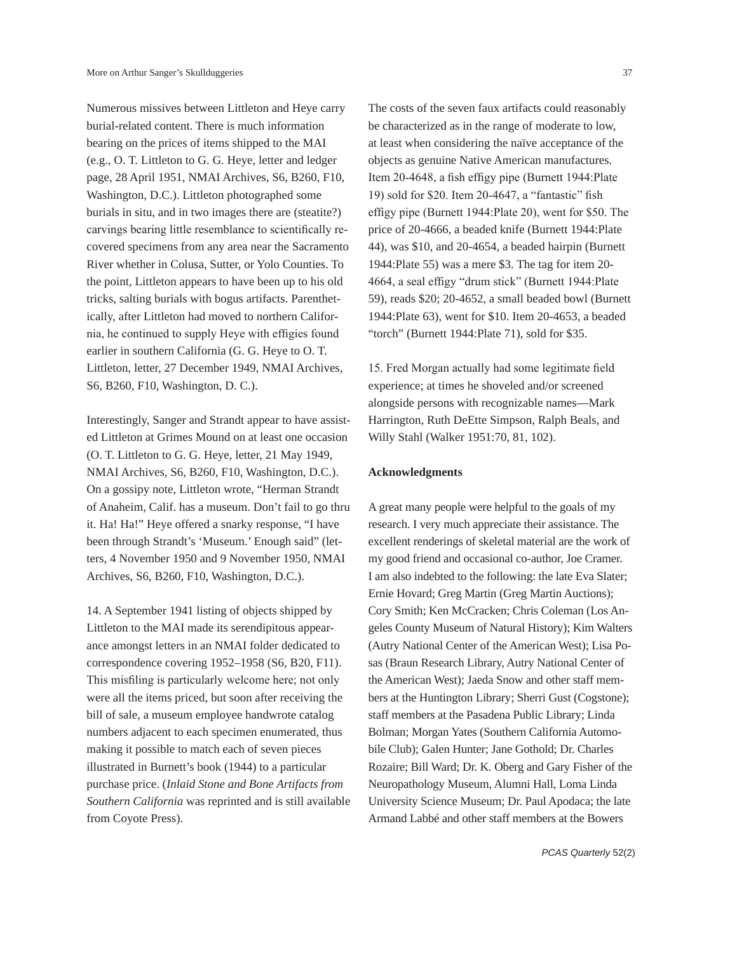Numerous missives between Littleton and Heye carry burial-related content. There is much information bearing on the prices of items shipped to the MAI (e.g., O. T. Littleton to G. G. Heye, letter and ledger page, 28 April 1951, NMAI Archives, S6, B260, F10, Washington, D.C.). Littleton photographed some burials in situ, and in two images there are (steatite?) carvings bearing little resemblance to scientifically recovered specimens from any area near the Sacramento River whether in Colusa, Sutter, or Yolo Counties. To the point, Littleton appears to have been up to his old tricks, salting burials with bogus artifacts. Parenthetically, after Littleton had moved to northern California, he continued to supply Heye with effigies found earlier in southern California (G. G. Heye to O. T. Littleton, letter, 27 December 1949, NMAI Archives, S6, B260, F10, Washington, D. C.).

Interestingly, Sanger and Strandt appear to have assisted Littleton at Grimes Mound on at least one occasion (O. T. Littleton to G. G. Heye, letter, 21 May 1949, NMAI Archives, S6, B260, F10, Washington, D.C.). On a gossipy note, Littleton wrote, "Herman Strandt of Anaheim, Calif. has a museum. Don't fail to go thru it. Ha! Ha!" Heye offered a snarky response, "I have been through Strandt's 'Museum.' Enough said" (letters, 4 November 1950 and 9 November 1950, NMAI Archives, S6, B260, F10, Washington, D.C.).

14. A September 1941 listing of objects shipped by Littleton to the MAI made its serendipitous appearance amongst letters in an NMAI folder dedicated to correspondence covering 1952–1958 (S6, B20, F11). This misfiling is particularly welcome here; not only were all the items priced, but soon after receiving the bill of sale, a museum employee handwrote catalog numbers adjacent to each specimen enumerated, thus making it possible to match each of seven pieces illustrated in Burnett's book (1944) to a particular purchase price. (*Inlaid Stone and Bone Artifacts from Southern California* was reprinted and is still available from Coyote Press).

The costs of the seven faux artifacts could reasonably be characterized as in the range of moderate to low, at least when considering the naïve acceptance of the objects as genuine Native American manufactures. Item 20-4648, a fish effigy pipe (Burnett 1944:Plate 19) sold for \$20. Item 20-4647, a "fantastic" fish effigy pipe (Burnett 1944:Plate 20), went for \$50. The price of 20-4666, a beaded knife (Burnett 1944:Plate 44), was \$10, and 20-4654, a beaded hairpin (Burnett 1944:Plate 55) was a mere \$3. The tag for item 20- 4664, a seal effigy "drum stick" (Burnett 1944:Plate 59), reads \$20; 20-4652, a small beaded bowl (Burnett 1944:Plate 63), went for \$10. Item 20-4653, a beaded "torch" (Burnett 1944:Plate 71), sold for \$35.

15. Fred Morgan actually had some legitimate field experience; at times he shoveled and/or screened alongside persons with recognizable names—Mark Harrington, Ruth DeEtte Simpson, Ralph Beals, and Willy Stahl (Walker 1951:70, 81, 102).

## **Acknowledgments**

A great many people were helpful to the goals of my research. I very much appreciate their assistance. The excellent renderings of skeletal material are the work of my good friend and occasional co-author, Joe Cramer. I am also indebted to the following: the late Eva Slater; Ernie Hovard; Greg Martin (Greg Martin Auctions); Cory Smith; Ken McCracken; Chris Coleman (Los Angeles County Museum of Natural History); Kim Walters (Autry National Center of the American West); Lisa Posas (Braun Research Library, Autry National Center of the American West); Jaeda Snow and other staff members at the Huntington Library; Sherri Gust (Cogstone); staff members at the Pasadena Public Library; Linda Bolman; Morgan Yates (Southern California Automobile Club); Galen Hunter; Jane Gothold; Dr. Charles Rozaire; Bill Ward; Dr. K. Oberg and Gary Fisher of the Neuropathology Museum, Alumni Hall, Loma Linda University Science Museum; Dr. Paul Apodaca; the late Armand Labbé and other staff members at the Bowers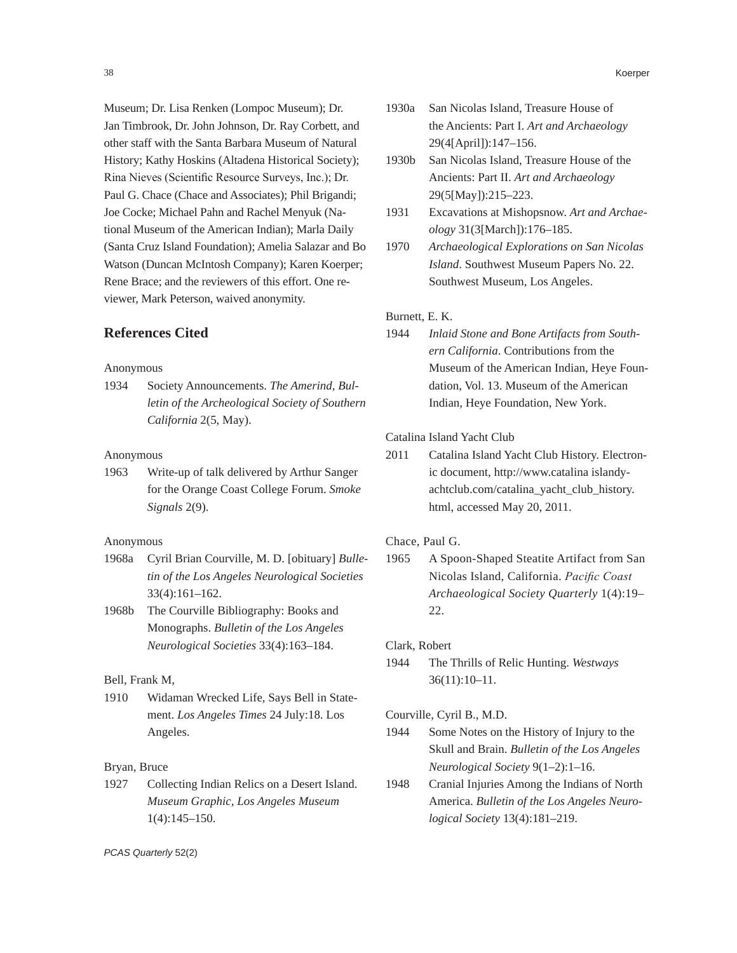Museum; Dr. Lisa Renken (Lompoc Museum); Dr. Jan Timbrook, Dr. John Johnson, Dr. Ray Corbett, and other staff with the Santa Barbara Museum of Natural History; Kathy Hoskins (Altadena Historical Society); Rina Nieves (Scientific Resource Surveys, Inc.); Dr. Paul G. Chace (Chace and Associates); Phil Brigandi; Joe Cocke; Michael Pahn and Rachel Menyuk (National Museum of the American Indian); Marla Daily (Santa Cruz Island Foundation); Amelia Salazar and Bo Watson (Duncan McIntosh Company); Karen Koerper; Rene Brace; and the reviewers of this effort. One reviewer, Mark Peterson, waived anonymity.

## **References Cited**

#### Anonymous

1934 Society Announcements. *The Amerind, Bulletin of the Archeological Society of Southern California* 2(5, May).

## Anonymous

1963 Write-up of talk delivered by Arthur Sanger for the Orange Coast College Forum. *Smoke Signals* 2(9).

## Anonymous

- 1968a Cyril Brian Courville, M. D. [obituary] *Bulletin of the Los Angeles Neurological Societies* 33(4):161–162.
- 1968b The Courville Bibliography: Books and Monographs. *Bulletin of the Los Angeles Neurological Societies* 33(4):163–184.

## Bell, Frank M,

1910 Widaman Wrecked Life, Says Bell in Statement. *Los Angeles Times* 24 July:18. Los Angeles.

## Bryan, Bruce

1927 Collecting Indian Relics on a Desert Island. *Museum Graphic, Los Angeles Museum* 1(4):145–150.

- 1930a San Nicolas Island, Treasure House of the Ancients: Part I. *Art and Archaeology* 29(4[April]):147–156.
- 1930b San Nicolas Island, Treasure House of the Ancients: Part II. *Art and Archaeology* 29(5[May]):215–223.
- 1931 Excavations at Mishopsnow. *Art and Archaeology* 31(3[March]):176–185.
- 1970 *Archaeological Explorations on San Nicolas Island*. Southwest Museum Papers No. 22. Southwest Museum, Los Angeles.

## Burnett, E. K.

1944 *Inlaid Stone and Bone Artifacts from Southern California*. Contributions from the Museum of the American Indian, Heye Foundation, Vol. 13. Museum of the American Indian, Heye Foundation, New York.

## Catalina Island Yacht Club

2011 Catalina Island Yacht Club History. Electronic document, http://www.catalina islandyachtclub.com/catalina\_yacht\_club\_history. html, accessed May 20, 2011.

#### Chace, Paul G.

1965 A Spoon-Shaped Steatite Artifact from San Nicolas Island, California. *Pacific Coast Archaeological Society Quarterly* 1(4):19– 22.

#### Clark, Robert

1944 The Thrills of Relic Hunting. *Westways* 36(11):10–11.

#### Courville, Cyril B., M.D.

- 1944 Some Notes on the History of Injury to the Skull and Brain. *Bulletin of the Los Angeles Neurological Society* 9(1–2):1–16.
- 1948 Cranial Injuries Among the Indians of North America. *Bulletin of the Los Angeles Neurological Society* 13(4):181–219.

*PCAS Quarterly* 52(2)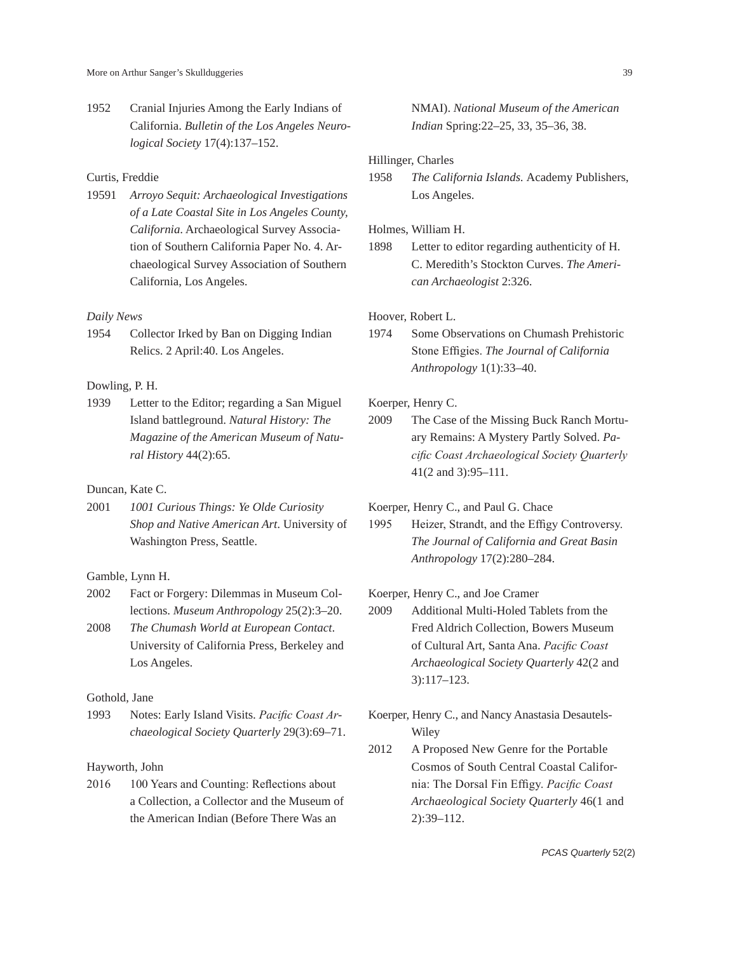1952 Cranial Injuries Among the Early Indians of California. *Bulletin of the Los Angeles Neurological Society* 17(4):137–152.

#### Curtis, Freddie

19591 *Arroyo Sequit: Archaeological Investigations of a Late Coastal Site in Los Angeles County, California*. Archaeological Survey Association of Southern California Paper No. 4. Archaeological Survey Association of Southern California, Los Angeles.

## *Daily News*

1954 Collector Irked by Ban on Digging Indian Relics. 2 April:40. Los Angeles.

### Dowling, P. H.

1939 Letter to the Editor; regarding a San Miguel Island battleground. *Natural History: The Magazine of the American Museum of Natural History* 44(2):65.

## Duncan, Kate C.

2001 *1001 Curious Things: Ye Olde Curiosity Shop and Native American Art*. University of Washington Press, Seattle.

#### Gamble, Lynn H.

- 2002 Fact or Forgery: Dilemmas in Museum Collections. *Museum Anthropology* 25(2):3–20.
- 2008 *The Chumash World at European Contact*. University of California Press, Berkeley and Los Angeles.

#### Gothold, Jane

1993 Notes: Early Island Visits. *Pacific Coast Archaeological Society Quarterly* 29(3):69–71.

## Hayworth, John

2016 100 Years and Counting: Reflections about a Collection, a Collector and the Museum of the American Indian (Before There Was an

NMAI). *National Museum of the American Indian* Spring:22–25, 33, 35–36, 38.

## Hillinger, Charles

1958 *The California Islands.* Academy Publishers, Los Angeles.

#### Holmes, William H.

1898 Letter to editor regarding authenticity of H. C. Meredith's Stockton Curves. *The American Archaeologist* 2:326.

## Hoover, Robert L.

1974 Some Observations on Chumash Prehistoric Stone Effigies. *The Journal of California Anthropology* 1(1):33–40.

## Koerper, Henry C.

2009 The Case of the Missing Buck Ranch Mortuary Remains: A Mystery Partly Solved. *Pacific Coast Archaeological Society Quarterly* 41(2 and 3):95–111.

# Koerper, Henry C., and Paul G. Chace

1995 Heizer, Strandt, and the Effigy Controversy. *The Journal of California and Great Basin Anthropology* 17(2):280–284.

## Koerper, Henry C., and Joe Cramer

- 2009 Additional Multi-Holed Tablets from the Fred Aldrich Collection, Bowers Museum of Cultural Art, Santa Ana. *Pacific Coast Archaeological Society Quarterly* 42(2 and 3):117–123.
- Koerper, Henry C., and Nancy Anastasia Desautels-Wiley
- 2012 A Proposed New Genre for the Portable Cosmos of South Central Coastal California: The Dorsal Fin Effigy. *Pacific Coast Archaeological Society Quarterly* 46(1 and 2):39–112.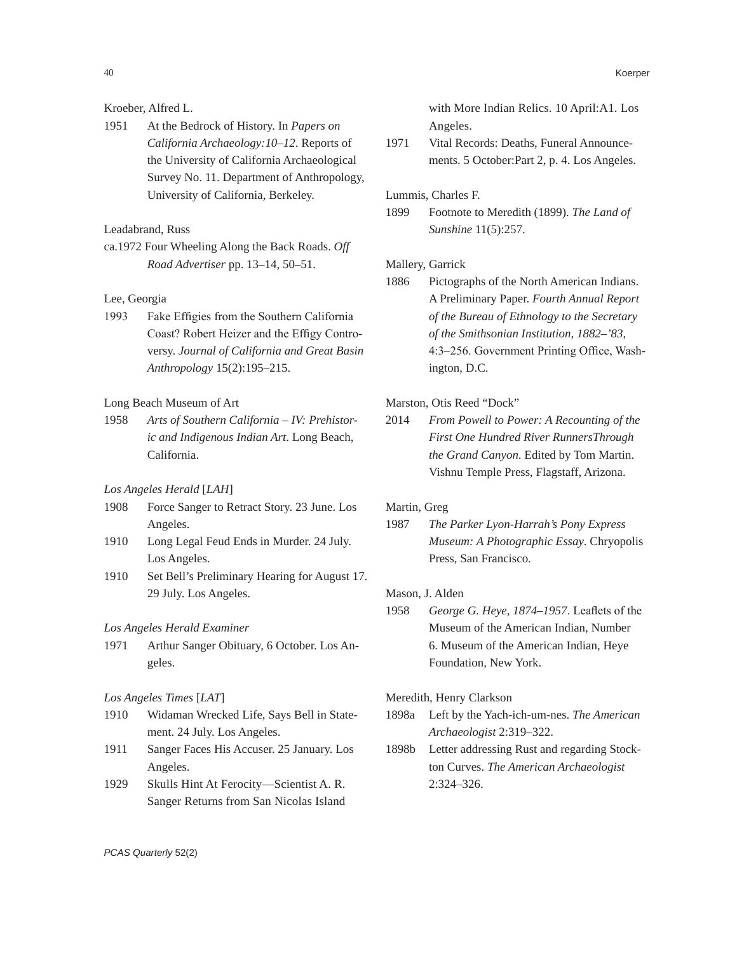## Kroeber, Alfred L.

1951 At the Bedrock of History. In *Papers on California Archaeology:10–12*. Reports of the University of California Archaeological Survey No. 11. Department of Anthropology, University of California, Berkeley.

## Leadabrand, Russ

ca.1972 Four Wheeling Along the Back Roads. *Off Road Advertiser* pp. 13–14, 50–51.

# Lee, Georgia

1993 Fake Effigies from the Southern California Coast? Robert Heizer and the Effigy Controversy. *Journal of California and Great Basin Anthropology* 15(2):195–215.

## Long Beach Museum of Art

1958 *Arts of Southern California – IV: Prehistoric and Indigenous Indian Art*. Long Beach, California.

# *Los Angeles Herald* [*LAH*]

- 1908 Force Sanger to Retract Story. 23 June. Los Angeles.
- 1910 Long Legal Feud Ends in Murder. 24 July. Los Angeles.
- 1910 Set Bell's Preliminary Hearing for August 17. 29 July. Los Angeles.

#### *Los Angeles Herald Examiner*

1971 Arthur Sanger Obituary, 6 October. Los Angeles.

## *Los Angeles Times* [*LAT*]

- 1910 Widaman Wrecked Life, Says Bell in Statement. 24 July. Los Angeles.
- 1911 Sanger Faces His Accuser. 25 January. Los Angeles.
- 1929 Skulls Hint At Ferocity—Scientist A. R. Sanger Returns from San Nicolas Island

with More Indian Relics. 10 April:A1. Los Angeles.

1971 Vital Records: Deaths, Funeral Announcements. 5 October:Part 2, p. 4. Los Angeles.

## Lummis, Charles F.

1899 Footnote to Meredith (1899). *The Land of Sunshine* 11(5):257.

## Mallery, Garrick

1886 Pictographs of the North American Indians. A Preliminary Paper. *Fourth Annual Report of the Bureau of Ethnology to the Secretary of the Smithsonian Institution, 1882–'83*, 4:3–256. Government Printing Office, Washington, D.C.

#### Marston, Otis Reed "Dock"

2014 *From Powell to Power: A Recounting of the First One Hundred River RunnersThrough the Grand Canyon*. Edited by Tom Martin. Vishnu Temple Press, Flagstaff, Arizona.

#### Martin, Greg

1987 *The Parker Lyon-Harrah's Pony Express Museum: A Photographic Essay*. Chryopolis Press, San Francisco.

## Mason, J. Alden

1958 *George G. Heye, 1874–1957*. Leaflets of the Museum of the American Indian, Number 6. Museum of the American Indian, Heye Foundation, New York.

#### Meredith, Henry Clarkson

- 1898a Left by the Yach-ich-um-nes. *The American Archaeologist* 2:319–322.
- 1898b Letter addressing Rust and regarding Stockton Curves. *The American Archaeologist* 2:324–326.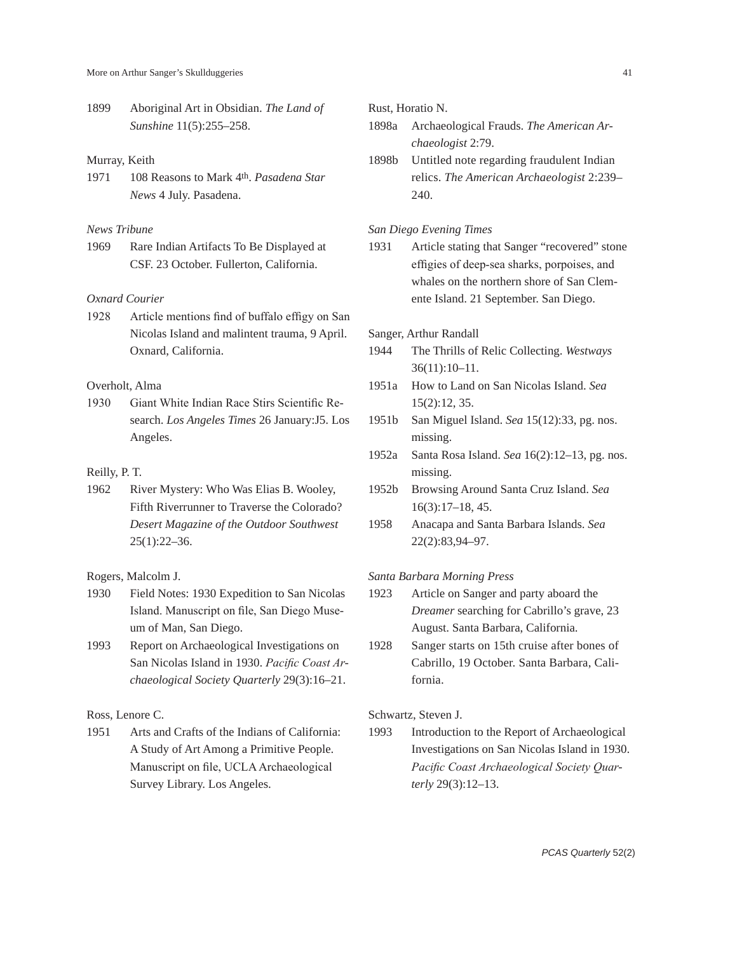1899 Aboriginal Art in Obsidian. *The Land of Sunshine* 11(5):255–258.

## Murray, Keith

1971 108 Reasons to Mark 4th. *Pasadena Star News* 4 July. Pasadena.

#### *News Tribune*

1969 Rare Indian Artifacts To Be Displayed at CSF. 23 October. Fullerton, California.

# *Oxnard Courier*

1928 Article mentions find of buffalo effigy on San Nicolas Island and malintent trauma, 9 April. Oxnard, California.

# Overholt, Alma

1930 Giant White Indian Race Stirs Scientific Research. *Los Angeles Times* 26 January:J5. Los Angeles.

## Reilly, P. T.

1962 River Mystery: Who Was Elias B. Wooley, Fifth Riverrunner to Traverse the Colorado? *Desert Magazine of the Outdoor Southwest*  $25(1):22-36.$ 

# Rogers, Malcolm J.

- 1930 Field Notes: 1930 Expedition to San Nicolas Island. Manuscript on file, San Diego Museum of Man, San Diego.
- 1993 Report on Archaeological Investigations on San Nicolas Island in 1930. *Pacific Coast Archaeological Society Quarterly* 29(3):16–21.

Ross, Lenore C.

1951 Arts and Crafts of the Indians of California: A Study of Art Among a Primitive People. Manuscript on file, UCLA Archaeological Survey Library. Los Angeles.

Rust, Horatio N.

- 1898a Archaeological Frauds. *The American Archaeologist* 2:79.
- 1898b Untitled note regarding fraudulent Indian relics. *The American Archaeologist* 2:239– 240.

## *San Diego Evening Times*

1931 Article stating that Sanger "recovered" stone effigies of deep-sea sharks, porpoises, and whales on the northern shore of San Clemente Island. 21 September. San Diego.

Sanger, Arthur Randall

- 1944 The Thrills of Relic Collecting. *Westways* 36(11):10–11.
- 1951a How to Land on San Nicolas Island. *Sea* 15(2):12, 35.
- 1951b San Miguel Island. *Sea* 15(12):33, pg. nos. missing.
- 1952a Santa Rosa Island. *Sea* 16(2):12–13, pg. nos. missing.
- 1952b Browsing Around Santa Cruz Island. *Sea* 16(3):17–18, 45.
- 1958 Anacapa and Santa Barbara Islands. *Sea*  22(2):83,94–97.

## *Santa Barbara Morning Press*

- 1923 Article on Sanger and party aboard the *Dreamer* searching for Cabrillo's grave, 23 August. Santa Barbara, California.
- 1928 Sanger starts on 15th cruise after bones of Cabrillo, 19 October. Santa Barbara, California.

## Schwartz, Steven J.

1993 Introduction to the Report of Archaeological Investigations on San Nicolas Island in 1930. *Pacific Coast Archaeological Society Quarterly* 29(3):12–13.